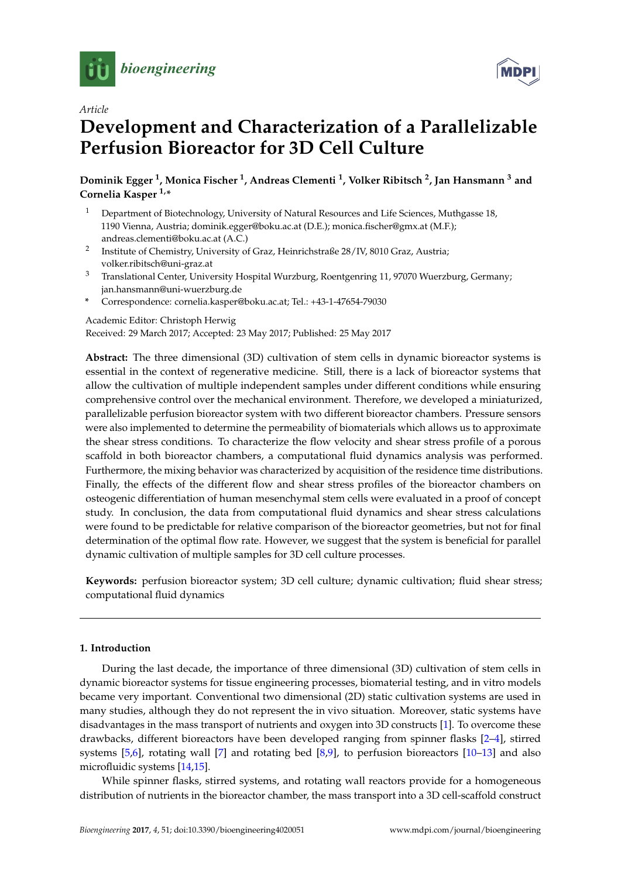



## *Article*

# **Development and Characterization of a Parallelizable Perfusion Bioreactor for 3D Cell Culture**

**Dominik Egger <sup>1</sup> , Monica Fischer <sup>1</sup> , Andreas Clementi <sup>1</sup> , Volker Ribitsch <sup>2</sup> , Jan Hansmann <sup>3</sup> and Cornelia Kasper 1,\***

- <sup>1</sup> Department of Biotechnology, University of Natural Resources and Life Sciences, Muthgasse 18, 1190 Vienna, Austria; dominik.egger@boku.ac.at (D.E.); monica.fischer@gmx.at (M.F.); andreas.clementi@boku.ac.at (A.C.)
- 2 Institute of Chemistry, University of Graz, Heinrichstraße 28/IV, 8010 Graz, Austria; volker.ribitsch@uni-graz.at
- <sup>3</sup> Translational Center, University Hospital Wurzburg, Roentgenring 11, 97070 Wuerzburg, Germany; jan.hansmann@uni-wuerzburg.de
- **\*** Correspondence: cornelia.kasper@boku.ac.at; Tel.: +43-1-47654-79030

Academic Editor: Christoph Herwig

Received: 29 March 2017; Accepted: 23 May 2017; Published: 25 May 2017

**Abstract:** The three dimensional (3D) cultivation of stem cells in dynamic bioreactor systems is essential in the context of regenerative medicine. Still, there is a lack of bioreactor systems that allow the cultivation of multiple independent samples under different conditions while ensuring comprehensive control over the mechanical environment. Therefore, we developed a miniaturized, parallelizable perfusion bioreactor system with two different bioreactor chambers. Pressure sensors were also implemented to determine the permeability of biomaterials which allows us to approximate the shear stress conditions. To characterize the flow velocity and shear stress profile of a porous scaffold in both bioreactor chambers, a computational fluid dynamics analysis was performed. Furthermore, the mixing behavior was characterized by acquisition of the residence time distributions. Finally, the effects of the different flow and shear stress profiles of the bioreactor chambers on osteogenic differentiation of human mesenchymal stem cells were evaluated in a proof of concept study. In conclusion, the data from computational fluid dynamics and shear stress calculations were found to be predictable for relative comparison of the bioreactor geometries, but not for final determination of the optimal flow rate. However, we suggest that the system is beneficial for parallel dynamic cultivation of multiple samples for 3D cell culture processes.

**Keywords:** perfusion bioreactor system; 3D cell culture; dynamic cultivation; fluid shear stress; computational fluid dynamics

## **1. Introduction**

During the last decade, the importance of three dimensional (3D) cultivation of stem cells in dynamic bioreactor systems for tissue engineering processes, biomaterial testing, and in vitro models became very important. Conventional two dimensional (2D) static cultivation systems are used in many studies, although they do not represent the in vivo situation. Moreover, static systems have disadvantages in the mass transport of nutrients and oxygen into 3D constructs [\[1\]](#page-16-0). To overcome these drawbacks, different bioreactors have been developed ranging from spinner flasks [\[2](#page-16-1)[–4\]](#page-17-0), stirred systems [\[5,](#page-17-1)[6\]](#page-17-2), rotating wall [\[7\]](#page-17-3) and rotating bed [\[8](#page-17-4)[,9\]](#page-17-5), to perfusion bioreactors [\[10](#page-17-6)[–13\]](#page-17-7) and also microfluidic systems [\[14,](#page-17-8)[15\]](#page-17-9).

While spinner flasks, stirred systems, and rotating wall reactors provide for a homogeneous distribution of nutrients in the bioreactor chamber, the mass transport into a 3D cell-scaffold construct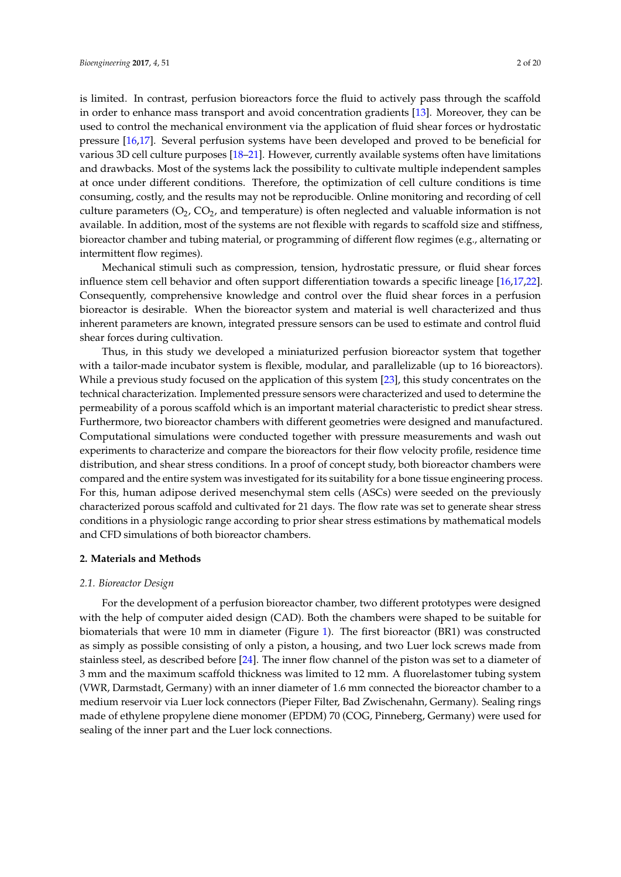is limited. In contrast, perfusion bioreactors force the fluid to actively pass through the scaffold in order to enhance mass transport and avoid concentration gradients [\[13\]](#page-17-7). Moreover, they can be used to control the mechanical environment via the application of fluid shear forces or hydrostatic pressure [\[16,](#page-17-10)[17\]](#page-17-11). Several perfusion systems have been developed and proved to be beneficial for various 3D cell culture purposes [\[18](#page-17-12)[–21\]](#page-17-13). However, currently available systems often have limitations and drawbacks. Most of the systems lack the possibility to cultivate multiple independent samples at once under different conditions. Therefore, the optimization of cell culture conditions is time consuming, costly, and the results may not be reproducible. Online monitoring and recording of cell culture parameters  $(O_2, CO_2)$ , and temperature) is often neglected and valuable information is not available. In addition, most of the systems are not flexible with regards to scaffold size and stiffness, bioreactor chamber and tubing material, or programming of different flow regimes (e.g., alternating or intermittent flow regimes).

Mechanical stimuli such as compression, tension, hydrostatic pressure, or fluid shear forces influence stem cell behavior and often support differentiation towards a specific lineage [\[16,](#page-17-10)[17,](#page-17-11)[22\]](#page-17-14). Consequently, comprehensive knowledge and control over the fluid shear forces in a perfusion bioreactor is desirable. When the bioreactor system and material is well characterized and thus inherent parameters are known, integrated pressure sensors can be used to estimate and control fluid shear forces during cultivation.

Thus, in this study we developed a miniaturized perfusion bioreactor system that together with a tailor-made incubator system is flexible, modular, and parallelizable (up to 16 bioreactors). While a previous study focused on the application of this system [\[23\]](#page-18-0), this study concentrates on the technical characterization. Implemented pressure sensors were characterized and used to determine the permeability of a porous scaffold which is an important material characteristic to predict shear stress. Furthermore, two bioreactor chambers with different geometries were designed and manufactured. Computational simulations were conducted together with pressure measurements and wash out experiments to characterize and compare the bioreactors for their flow velocity profile, residence time distribution, and shear stress conditions. In a proof of concept study, both bioreactor chambers were compared and the entire system was investigated for its suitability for a bone tissue engineering process. For this, human adipose derived mesenchymal stem cells (ASCs) were seeded on the previously characterized porous scaffold and cultivated for 21 days. The flow rate was set to generate shear stress conditions in a physiologic range according to prior shear stress estimations by mathematical models and CFD simulations of both bioreactor chambers.

## **2. Materials and Methods**

#### *2.1. Bioreactor Design*

For the development of a perfusion bioreactor chamber, two different prototypes were designed with the help of computer aided design (CAD). Both the chambers were shaped to be suitable for biomaterials that were 10 mm in diameter (Figure [1\)](#page-2-0). The first bioreactor (BR1) was constructed as simply as possible consisting of only a piston, a housing, and two Luer lock screws made from stainless steel, as described before [\[24\]](#page-18-1). The inner flow channel of the piston was set to a diameter of 3 mm and the maximum scaffold thickness was limited to 12 mm. A fluorelastomer tubing system (VWR, Darmstadt, Germany) with an inner diameter of 1.6 mm connected the bioreactor chamber to a medium reservoir via Luer lock connectors (Pieper Filter, Bad Zwischenahn, Germany). Sealing rings made of ethylene propylene diene monomer (EPDM) 70 (COG, Pinneberg, Germany) were used for sealing of the inner part and the Luer lock connections.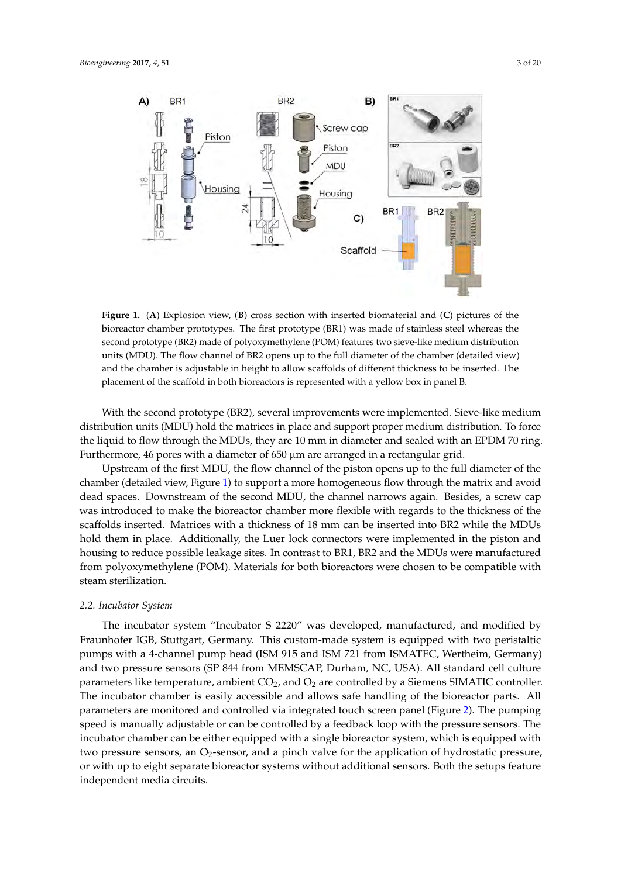<span id="page-2-0"></span>

Figure 1. (A) Explosion view, (B) cross section with inserted biomaterial and (C) pictures of the bioreactor chamber prototypes. The first prototype (BR1) was made of stainless steel whereas the bioreactor chamber prototypes. The first prototype (BR1) was made of stainless steel whereas the second prototype (BR2) made of polyoxymethylene (POM) features two sieve-like medium distribution units (MDU). The flow channel of BR2 opens up to the full diameter of the chamber (detailed view) and the chamber is adjustable in height to allow scaffolds of different thickness to be inserted. The placement of the scaffold in both bioreactors is represented with a yellow box in panel B.

With the second prototype (BR2), several improvements were implemented. Sieve-like medium distribution units (MDU) hold the matrices in place and support proper medium distribution. To force the liquid to flow through the MDUs, they are 10 mm in diameter and sealed with an EPDM 70 ring. Furthermore, 46 pores with a diameter of 650 µm are arranged in a rectangular grid.

Upstream of the first MDU, the flow channel of the piston opens up to the full diameter of the cha[mb](#page-2-0)er (detailed view, Figure 1) to support a more homogeneous flow through the matrix and avoid dead spaces. Downstream of the second MDU, the channel narrows again. Besides, a screw cap was introduced to make the bioreactor chamber more flexible with regards to the thickness of the scaffolds inserted. Matrices with a thickness of 18 mm can be inserted into BR2 while the MDUs hold them in place. Additionally, the Luer lock connectors were implemented in the piston and housing to reduce possible leakage sites. In contrast to BR1, BR2 and the MDUs were manufactured from polyoxymethylene (POM). Materials for both bioreactors were chosen to be compatible with steam sterilization.

## *2.2. Incubator System*

The incubator system "Incubator S 2220" was developed, manufactured, and modified by Fraunhofer IGB, Stuttgart, Germany. This custom-made system is equipped with two peristaltic pumps with a 4-channel pump head (ISM 915 and ISM 721 from ISMATEC, Wertheim, Germany) and two pressure sensors (SP 844 from MEMSCAP, Durham, NC, USA). All standard cell culture parameters like temperature, ambient  $CO<sub>2</sub>$ , and  $O<sub>2</sub>$  are controlled by a Siemens SIMATIC controller. The incubator chamber is easily accessible and allows safe handling of the bioreactor parts. All parameters are monitored and controlled via integrated touch screen panel (Figure [2\)](#page-3-0). The pumping speed is manually adjustable or can be controlled by a feedback loop with the pressure sensors. The incubator chamber can be either equipped with a single bioreactor system, which is equipped with two pressure sensors, an  $O<sub>2</sub>$ -sensor, and a pinch valve for the application of hydrostatic pressure, or with up to eight separate bioreactor systems without additional sensors. Both the setups feature independent media circuits.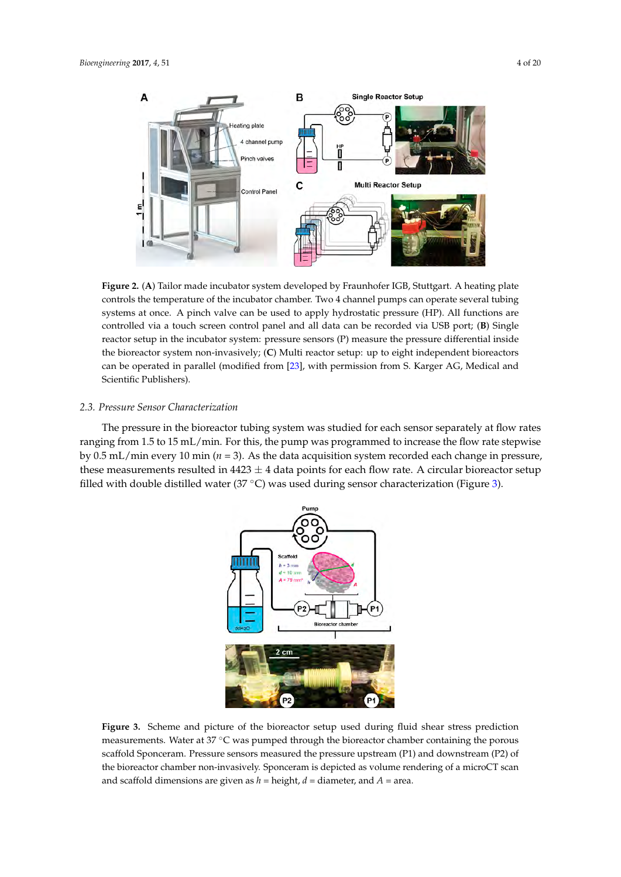<span id="page-3-0"></span>

**Figure 2.** (**A**) Tailor made incubator system developed by Fraunhofer IGB, Stuttgart. A heating plate **Figure 2.** (**A**) Tailor made incubator system developed by Fraunhofer IGB, Stuttgart. A heating plate controls the temperature of the incubator chamber. Two 4 channel pumps can operate several tubing systems at once. A pinch valve can be used to apply hydrostatic pressure (HP). All functions are controlled via a touch screen control panel and all data can be recorded via USB port; (B) Single reactor setup in the incubator system: pressure sensors (P) measure the pressure differential inside the bioreactor system non-invasively; (C) Multi reactor setup: up to eight independent bioreactors can be operated in parallel (modified from [\[23\]](#page-18-0), with permission from S. Karger AG, Medical and The pressure in the bioreactor tubing system was studied for each sensor separately at flow rates  $\mathcal{L}$ incubator systems: pressure systems: pressure sensors (P) measure the pressure differential inside the pressure of pressure differential install inside the pressure of the biometers). comparature temperature of the incubation of the included temperature serious can operate serious can operate

#### ranging from 1.5 to 15 mL/min. For this, the pump was programmed to increase the flow rate stepwise 2.3. Pressure Sensor Characterization

The pressure in the bioreactor tubing system was studied for each sensor separately at flow rates ranging from 1.5 to 15 mL/min. For this, the pump was programmed to increase the flow rate stepwise by  $0.5$  mL/min every  $10$  min ( $n = 3$ ). As the data acquisition system recorded each change in pressure, these measurements resulted in  $4423 \pm 4$  data points for each flow rate. A circular bioreactor setup filled with double distilled water (37 °C) was used during sensor characterization (Figure [3\)](#page-3-1). fill double distilled water  $(s, \nabla)$  was used during sensor characterization (Figure

<span id="page-3-1"></span>

**Figure 3.** Scheme and picture of the bioreactor setup used during fluid shear stress prediction **Figure 3.** Scheme and picture of the bioreactor setup used during fluid shear stress prediction measurements. Water at 37 °C was pumped through the bioreactor chamber containing the porous scaffold Sponceram. Pressure sensors measured the pressure upstream (P1) and downstream (P2) of the bioreactor chamber non-invasively. Sponceram is depicted as volume rendering of a microCT scan and scaffold dimensions are given as  $h =$  height,  $d =$  diameter, and  $A =$  area.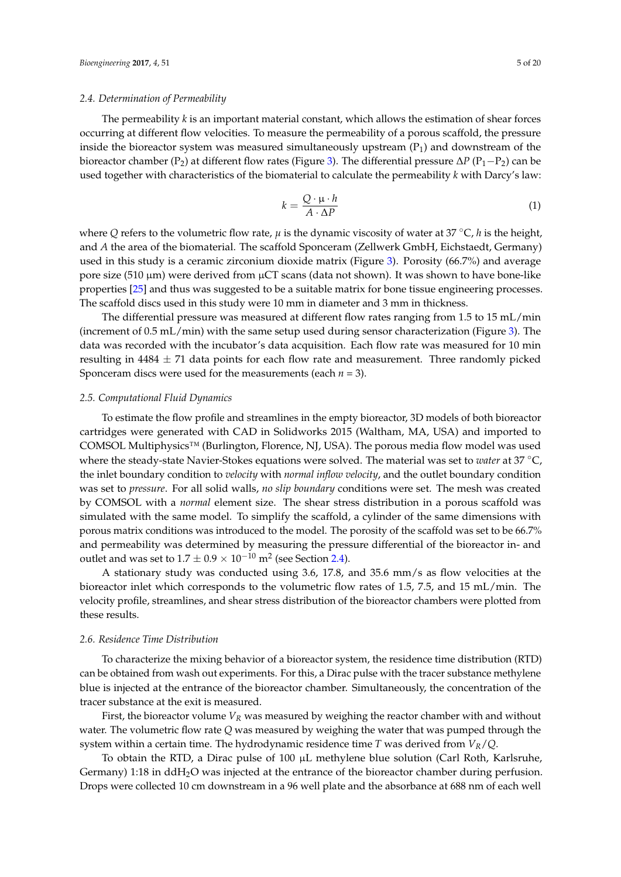#### <span id="page-4-0"></span>*2.4. Determination of Permeability*

The permeability *k* is an important material constant, which allows the estimation of shear forces occurring at different flow velocities. To measure the permeability of a porous scaffold, the pressure inside the bioreactor system was measured simultaneously upstream  $(P_1)$  and downstream of the bioreactor chamber (P2) at different flow rates (Figure [3\)](#page-3-1). The differential pressure ∆*P* (P1−P2) can be used together with characteristics of the biomaterial to calculate the permeability *k* with Darcy's law:

$$
k = \frac{Q \cdot \mu \cdot h}{A \cdot \Delta P} \tag{1}
$$

where *Q* refers to the volumetric flow rate,  $\mu$  is the dynamic viscosity of water at 37 °C, *h* is the height, and *A* the area of the biomaterial. The scaffold Sponceram (Zellwerk GmbH, Eichstaedt, Germany) used in this study is a ceramic zirconium dioxide matrix (Figure [3\)](#page-3-1). Porosity (66.7%) and average pore size (510  $\mu$ m) were derived from  $\mu$ CT scans (data not shown). It was shown to have bone-like properties [\[25\]](#page-18-2) and thus was suggested to be a suitable matrix for bone tissue engineering processes. The scaffold discs used in this study were 10 mm in diameter and 3 mm in thickness.

The differential pressure was measured at different flow rates ranging from 1.5 to 15 mL/min (increment of 0.5 mL/min) with the same setup used during sensor characterization (Figure [3\)](#page-3-1). The data was recorded with the incubator's data acquisition. Each flow rate was measured for 10 min resulting in  $4484 \pm 71$  data points for each flow rate and measurement. Three randomly picked Sponceram discs were used for the measurements (each *n* = 3).

#### <span id="page-4-1"></span>*2.5. Computational Fluid Dynamics*

To estimate the flow profile and streamlines in the empty bioreactor, 3D models of both bioreactor cartridges were generated with CAD in Solidworks 2015 (Waltham, MA, USA) and imported to COMSOL Multiphysics™ (Burlington, Florence, NJ, USA). The porous media flow model was used where the steady-state Navier-Stokes equations were solved. The material was set to *water* at 37 ◦C, the inlet boundary condition to *velocity* with *normal inflow velocity*, and the outlet boundary condition was set to *pressure*. For all solid walls, *no slip boundary* conditions were set. The mesh was created by COMSOL with a *normal* element size. The shear stress distribution in a porous scaffold was simulated with the same model. To simplify the scaffold, a cylinder of the same dimensions with porous matrix conditions was introduced to the model. The porosity of the scaffold was set to be 66.7% and permeability was determined by measuring the pressure differential of the bioreactor in- and outlet and was set to 1.7  $\pm$  0.9  $\times$   $10^{-10}$  m<sup>2</sup> (see Section [2.4\)](#page-4-0).

A stationary study was conducted using 3.6, 17.8, and 35.6 mm/s as flow velocities at the bioreactor inlet which corresponds to the volumetric flow rates of 1.5, 7.5, and 15 mL/min. The velocity profile, streamlines, and shear stress distribution of the bioreactor chambers were plotted from these results.

#### *2.6. Residence Time Distribution*

To characterize the mixing behavior of a bioreactor system, the residence time distribution (RTD) can be obtained from wash out experiments. For this, a Dirac pulse with the tracer substance methylene blue is injected at the entrance of the bioreactor chamber. Simultaneously, the concentration of the tracer substance at the exit is measured.

First, the bioreactor volume  $V_R$  was measured by weighing the reactor chamber with and without water. The volumetric flow rate *Q* was measured by weighing the water that was pumped through the system within a certain time. The hydrodynamic residence time *T* was derived from *VR*/*Q*.

To obtain the RTD, a Dirac pulse of 100 µL methylene blue solution (Carl Roth, Karlsruhe, Germany) 1:18 in ddH<sub>2</sub>O was injected at the entrance of the bioreactor chamber during perfusion. Drops were collected 10 cm downstream in a 96 well plate and the absorbance at 688 nm of each well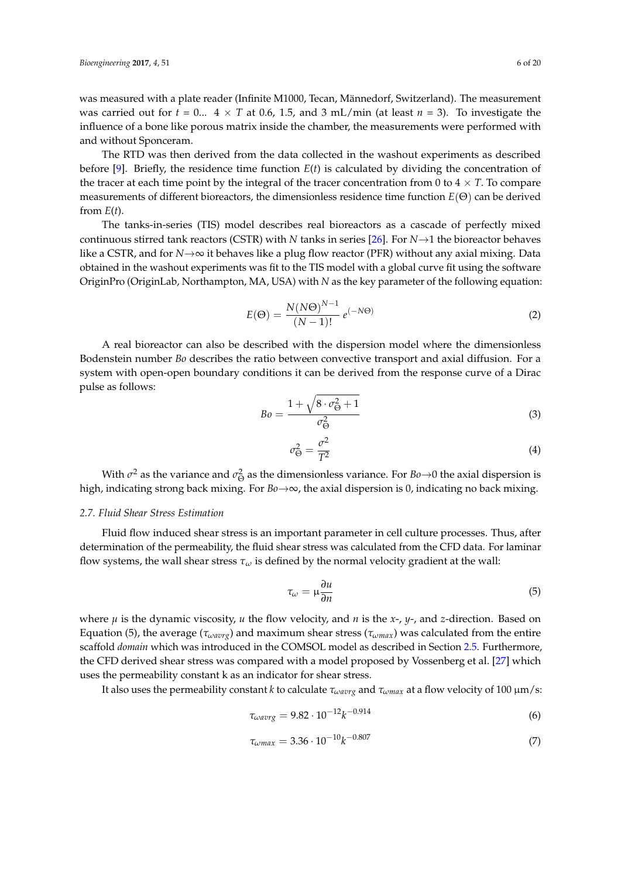was measured with a plate reader (Infinite M1000, Tecan, Männedorf, Switzerland). The measurement was carried out for  $t = 0...$  4  $\times$  *T* at 0.6, 1.5, and 3 mL/min (at least  $n = 3$ ). To investigate the influence of a bone like porous matrix inside the chamber, the measurements were performed with and without Sponceram.

The RTD was then derived from the data collected in the washout experiments as described before  $[9]$ . Briefly, the residence time function  $E(t)$  is calculated by dividing the concentration of the tracer at each time point by the integral of the tracer concentration from 0 to  $4 \times T$ . To compare measurements of different bioreactors, the dimensionless residence time function *E*(Θ) can be derived from  $E(t)$ .

The tanks-in-series (TIS) model describes real bioreactors as a cascade of perfectly mixed continuous stirred tank reactors (CSTR) with *N* tanks in series [\[26\]](#page-18-3). For *N*→1 the bioreactor behaves like a CSTR, and for *N*→∞ it behaves like a plug flow reactor (PFR) without any axial mixing. Data obtained in the washout experiments was fit to the TIS model with a global curve fit using the software OriginPro (OriginLab, Northampton, MA, USA) with *N* as the key parameter of the following equation:

$$
E(\Theta) = \frac{N(N\Theta)^{N-1}}{(N-1)!} e^{(-N\Theta)}
$$
\n(2)

A real bioreactor can also be described with the dispersion model where the dimensionless Bodenstein number *Bo* describes the ratio between convective transport and axial diffusion. For a system with open-open boundary conditions it can be derived from the response curve of a Dirac pulse as follows:

$$
Bo = \frac{1 + \sqrt{8 \cdot \sigma_{\Theta}^2 + 1}}{\sigma_{\Theta}^2} \tag{3}
$$

$$
\sigma_{\Theta}^2 = \frac{\sigma^2}{T^2} \tag{4}
$$

With  $\sigma^2$  as the variance and  $\sigma^2_{\Theta}$  as the dimensionless variance. For  $Bo\rightarrow 0$  the axial dispersion is high, indicating strong back mixing. For *Bo*→∞, the axial dispersion is 0, indicating no back mixing.

#### *2.7. Fluid Shear Stress Estimation*

Fluid flow induced shear stress is an important parameter in cell culture processes. Thus, after determination of the permeability, the fluid shear stress was calculated from the CFD data. For laminar flow systems, the wall shear stress *τ<sup>ω</sup>* is defined by the normal velocity gradient at the wall:

$$
\tau_{\omega} = \mu \frac{\partial u}{\partial n} \tag{5}
$$

where  $\mu$  is the dynamic viscosity,  $u$  the flow velocity, and  $n$  is the  $x$ -,  $y$ -, and  $z$ -direction. Based on Equation (5), the average (*τωavrg*) and maximum shear stress (*τωmax*) was calculated from the entire scaffold *domain* which was introduced in the COMSOL model as described in Section [2.5.](#page-4-1) Furthermore, the CFD derived shear stress was compared with a model proposed by Vossenberg et al. [\[27\]](#page-18-4) which uses the permeability constant k as an indicator for shear stress.

It also uses the permeability constant *k* to calculate *τωavrg* and *τωmax* at a flow velocity of 100 µm/s:

$$
\tau_{\omega\omega\sigma} = 9.82 \cdot 10^{-12} k^{-0.914} \tag{6}
$$

$$
\tau_{\omega max} = 3.36 \cdot 10^{-10} k^{-0.807} \tag{7}
$$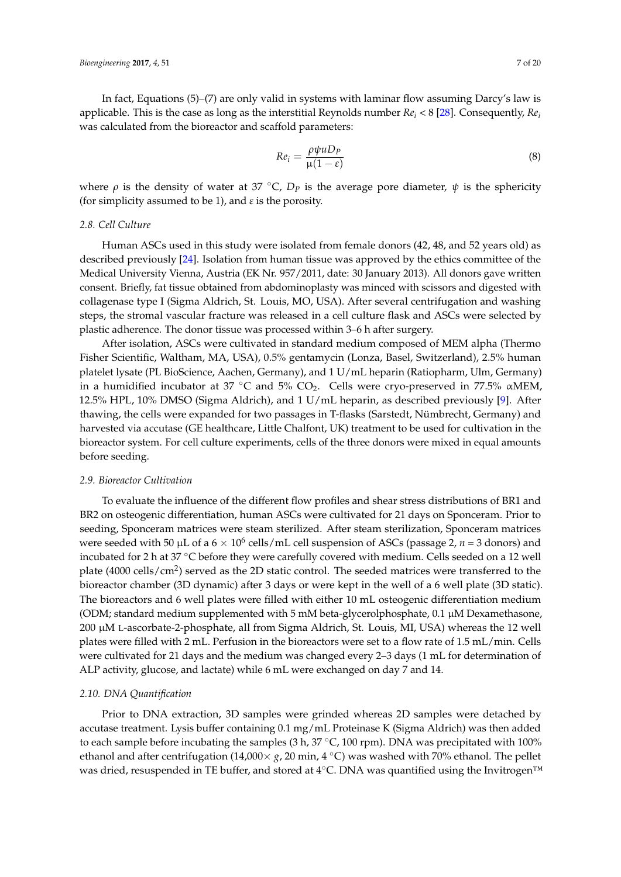In fact, Equations (5)–(7) are only valid in systems with laminar flow assuming Darcy's law is applicable. This is the case as long as the interstitial Reynolds number *Re<sup>i</sup>* < 8 [\[28\]](#page-18-5). Consequently, *Re<sup>i</sup>* was calculated from the bioreactor and scaffold parameters:

$$
Re_i = \frac{\rho \psi u D_P}{\mu (1 - \varepsilon)}\tag{8}
$$

where  $\rho$  is the density of water at 37 °C,  $D_p$  is the average pore diameter,  $\psi$  is the sphericity (for simplicity assumed to be 1), and *ε* is the porosity.

## *2.8. Cell Culture*

Human ASCs used in this study were isolated from female donors (42, 48, and 52 years old) as described previously [\[24\]](#page-18-1). Isolation from human tissue was approved by the ethics committee of the Medical University Vienna, Austria (EK Nr. 957/2011, date: 30 January 2013). All donors gave written consent. Briefly, fat tissue obtained from abdominoplasty was minced with scissors and digested with collagenase type I (Sigma Aldrich, St. Louis, MO, USA). After several centrifugation and washing steps, the stromal vascular fracture was released in a cell culture flask and ASCs were selected by plastic adherence. The donor tissue was processed within 3–6 h after surgery.

After isolation, ASCs were cultivated in standard medium composed of MEM alpha (Thermo Fisher Scientific, Waltham, MA, USA), 0.5% gentamycin (Lonza, Basel, Switzerland), 2.5% human platelet lysate (PL BioScience, Aachen, Germany), and 1 U/mL heparin (Ratiopharm, Ulm, Germany) in a humidified incubator at 37 °C and 5% CO<sub>2</sub>. Cells were cryo-preserved in 77.5%  $\alpha$ MEM, 12.5% HPL, 10% DMSO (Sigma Aldrich), and 1 U/mL heparin, as described previously [\[9\]](#page-17-5). After thawing, the cells were expanded for two passages in T-flasks (Sarstedt, Nümbrecht, Germany) and harvested via accutase (GE healthcare, Little Chalfont, UK) treatment to be used for cultivation in the bioreactor system. For cell culture experiments, cells of the three donors were mixed in equal amounts before seeding.

#### *2.9. Bioreactor Cultivation*

To evaluate the influence of the different flow profiles and shear stress distributions of BR1 and BR2 on osteogenic differentiation, human ASCs were cultivated for 21 days on Sponceram. Prior to seeding, Sponceram matrices were steam sterilized. After steam sterilization, Sponceram matrices were seeded with 50  $\mu$ L of a 6  $\times$  10<sup>6</sup> cells/mL cell suspension of ASCs (passage 2, *n* = 3 donors) and incubated for 2 h at 37 ◦C before they were carefully covered with medium. Cells seeded on a 12 well plate (4000 cells/cm<sup>2</sup>) served as the 2D static control. The seeded matrices were transferred to the bioreactor chamber (3D dynamic) after 3 days or were kept in the well of a 6 well plate (3D static). The bioreactors and 6 well plates were filled with either 10 mL osteogenic differentiation medium (ODM; standard medium supplemented with 5 mM beta-glycerolphosphate, 0.1  $\mu$ M Dexamethasone, 200 µM L-ascorbate-2-phosphate, all from Sigma Aldrich, St. Louis, MI, USA) whereas the 12 well plates were filled with 2 mL. Perfusion in the bioreactors were set to a flow rate of 1.5 mL/min. Cells were cultivated for 21 days and the medium was changed every 2–3 days (1 mL for determination of ALP activity, glucose, and lactate) while 6 mL were exchanged on day 7 and 14.

#### *2.10. DNA Quantification*

Prior to DNA extraction, 3D samples were grinded whereas 2D samples were detached by accutase treatment. Lysis buffer containing 0.1 mg/mL Proteinase K (Sigma Aldrich) was then added to each sample before incubating the samples (3 h, 37 ℃, 100 rpm). DNA was precipitated with 100% ethanol and after centrifugation (14,000× *g*, 20 min, 4 ◦C) was washed with 70% ethanol. The pellet was dried, resuspended in TE buffer, and stored at 4℃. DNA was quantified using the Invitrogen™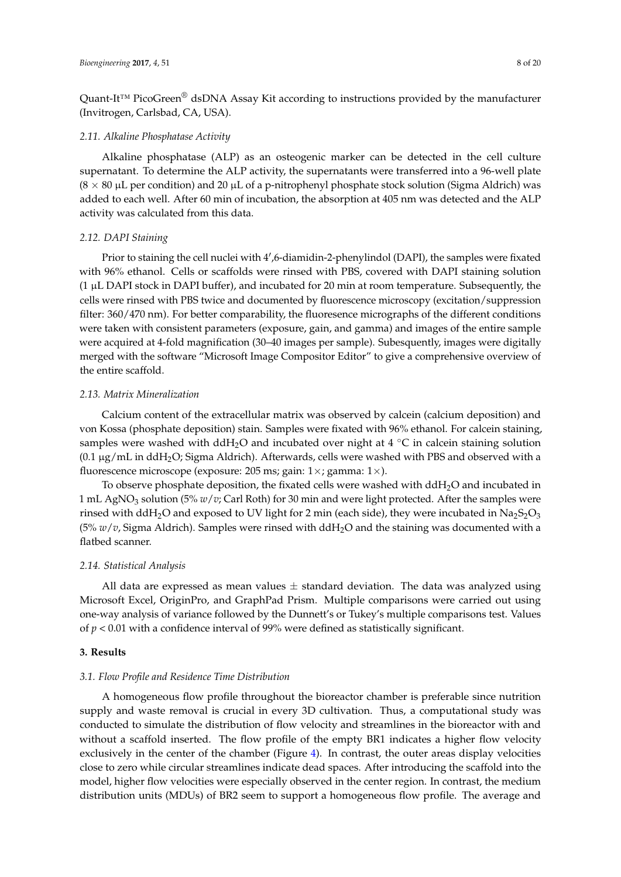Quant-It<sup>™</sup> PicoGreen<sup>®</sup> dsDNA Assay Kit according to instructions provided by the manufacturer (Invitrogen, Carlsbad, CA, USA).

## *2.11. Alkaline Phosphatase Activity*

Alkaline phosphatase (ALP) as an osteogenic marker can be detected in the cell culture supernatant. To determine the ALP activity, the supernatants were transferred into a 96-well plate  $(8 \times 80 \,\mu L)$  per condition) and 20  $\mu L$  of a p-nitrophenyl phosphate stock solution (Sigma Aldrich) was added to each well. After 60 min of incubation, the absorption at 405 nm was detected and the ALP activity was calculated from this data.

## *2.12. DAPI Staining*

Prior to staining the cell nuclei with 4',6-diamidin-2-phenylindol (DAPI), the samples were fixated with 96% ethanol. Cells or scaffolds were rinsed with PBS, covered with DAPI staining solution  $(1 \mu L$  DAPI stock in DAPI buffer), and incubated for 20 min at room temperature. Subsequently, the cells were rinsed with PBS twice and documented by fluorescence microscopy (excitation/suppression filter: 360/470 nm). For better comparability, the fluoresence micrographs of the different conditions were taken with consistent parameters (exposure, gain, and gamma) and images of the entire sample were acquired at 4-fold magnification (30–40 images per sample). Subesquently, images were digitally merged with the software "Microsoft Image Compositor Editor" to give a comprehensive overview of the entire scaffold.

## *2.13. Matrix Mineralization*

Calcium content of the extracellular matrix was observed by calcein (calcium deposition) and von Kossa (phosphate deposition) stain. Samples were fixated with 96% ethanol. For calcein staining, samples were washed with ddH<sub>2</sub>O and incubated over night at 4  $\degree$ C in calcein staining solution  $(0.1 \,\mu g/mL$  in ddH<sub>2</sub>O; Sigma Aldrich). Afterwards, cells were washed with PBS and observed with a fluorescence microscope (exposure: 205 ms; gain:  $1 \times$ ; gamma:  $1 \times$ ).

To observe phosphate deposition, the fixated cells were washed with  $ddH<sub>2</sub>O$  and incubated in 1 mL AgNO<sup>3</sup> solution (5% *w*/*v*; Carl Roth) for 30 min and were light protected. After the samples were rinsed with ddH<sub>2</sub>O and exposed to UV light for 2 min (each side), they were incubated in Na<sub>2</sub>S<sub>2</sub>O<sub>3</sub> (5% *w*/*v*, Sigma Aldrich). Samples were rinsed with ddH2O and the staining was documented with a flatbed scanner.

## *2.14. Statistical Analysis*

All data are expressed as mean values  $\pm$  standard deviation. The data was analyzed using Microsoft Excel, OriginPro, and GraphPad Prism. Multiple comparisons were carried out using one-way analysis of variance followed by the Dunnett's or Tukey's multiple comparisons test. Values of *p* < 0.01 with a confidence interval of 99% were defined as statistically significant.

## **3. Results**

## *3.1. Flow Profile and Residence Time Distribution*

A homogeneous flow profile throughout the bioreactor chamber is preferable since nutrition supply and waste removal is crucial in every 3D cultivation. Thus, a computational study was conducted to simulate the distribution of flow velocity and streamlines in the bioreactor with and without a scaffold inserted. The flow profile of the empty BR1 indicates a higher flow velocity exclusively in the center of the chamber (Figure [4\)](#page-8-0). In contrast, the outer areas display velocities close to zero while circular streamlines indicate dead spaces. After introducing the scaffold into the model, higher flow velocities were especially observed in the center region. In contrast, the medium distribution units (MDUs) of BR2 seem to support a homogeneous flow profile. The average and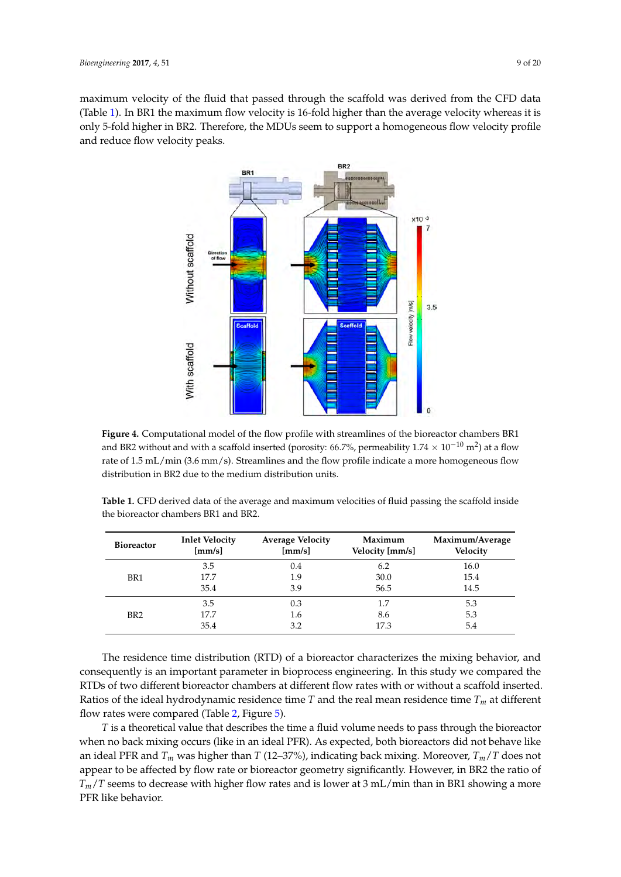<span id="page-8-0"></span>maximum velocity of the fluid that passed through the scaffold was derived from the CFD data (Table [1\)](#page-8-1). In BR1 the maximum flow velocity is 16-fold higher than the average velocity whereas it is only 5-fold higher in BR2. Therefore, the MDUs seem to support a homogeneous flow velocity profile BR2 and reduce flow velocity peaks.  $\frac{3.5 \text{ NDM}}{2}$  $n_{\rm c}$ , the mDOs seem to support a nonlogeneous no



**Figure 4.** Computational model of the flow profile with streamlines of the bioreactor chambers BR1 **Figure 4.** Computational model of the flow profile with streamlines of the bioreactor chambers BR1 and BR2 without and with a scaffold inserted (porosity: 66.7%, permeability  $1.74 \times 10^{-10}$  m<sup>2</sup>) at a flow rate of 1.5 mL/min (3.6 mm/s). Streamlines and the flow profile indicate a more homogeneous flow rate of 1.5 mL/min (3.6 mm/s). Streamlines and the flow profile indicate a more homogeneous flow distribution in BR2 due to the medium distribution units. distribution in BR2 due to the medium distribution units.

<span id="page-8-1"></span> $T$  residence time distribution (RTD) of a bioreactor characterizes the mixing behavior, and mixing behavior, and  $\alpha$ **Table 1.** CFD derived data of the average and maximum velocities of fluid passing the scaffold inside<br> **Table 1.** CFD derived data of the average and maximum velocities of fluid passing the scaffold inside RTDs of two different bioreactor chambers at different flow rates with or without a scaffold inserted. the bioreactor chambers BR1 and BR2.

| <b>Bioreactor</b> | <b>Inlet Velocity</b><br>[mm/s] | <b>Average Velocity</b><br>[mm/s] | Maximum<br>Velocity [mm/s] | Maximum/Average<br>Velocity |
|-------------------|---------------------------------|-----------------------------------|----------------------------|-----------------------------|
|                   | 3.5                             | 0.4                               | 6.2                        | 16.0                        |
| BR <sub>1</sub>   | 17.7                            | 1.9                               | 30.0                       | 15.4                        |
|                   | 35.4                            | 3.9                               | 56.5                       | 14.5                        |
| BR <sub>2</sub>   | 3.5                             | 0.3                               | 1.7                        | 5.3                         |
|                   | 17.7                            | 1.6                               | 8.6                        | 5.3                         |
|                   | 35.4                            | 3.2                               | 17.3                       | 5.4                         |

The residence time distribution (RTD) of a bioreactor characterizes the mixing behavior, and consequently is an important parameter in bioprocess engineering. In this study we compared the Examples the distribution of the product in exceptions of the main state, we complete the RTDs of two different bioreactor chambers at different flow rates with or without a scaffold inserted. Ratios of the ideal hydrodynamic residence time  $T$  and the real mean residence time  $T_m$  at different flow rates were compared (Table [2,](#page-9-0) Figure [5\)](#page-9-1).

*T* is a theoretical value that describes the time a fluid volume needs to pass through the bioreactor when no back mixing occurs (like in an ideal PFR). As expected, both bioreactors did not behave like an ideal PFR and *T<sup>m</sup>* was higher than *T* (12–37%), indicating back mixing. Moreover, *Tm*/*T* does not appear to be affected by flow rate or bioreactor geometry significantly. However, in BR2 the ratio of *Tm*/*T* seems to decrease with higher flow rates and is lower at 3 mL/min than in BR1 showing a more PFR like behavior.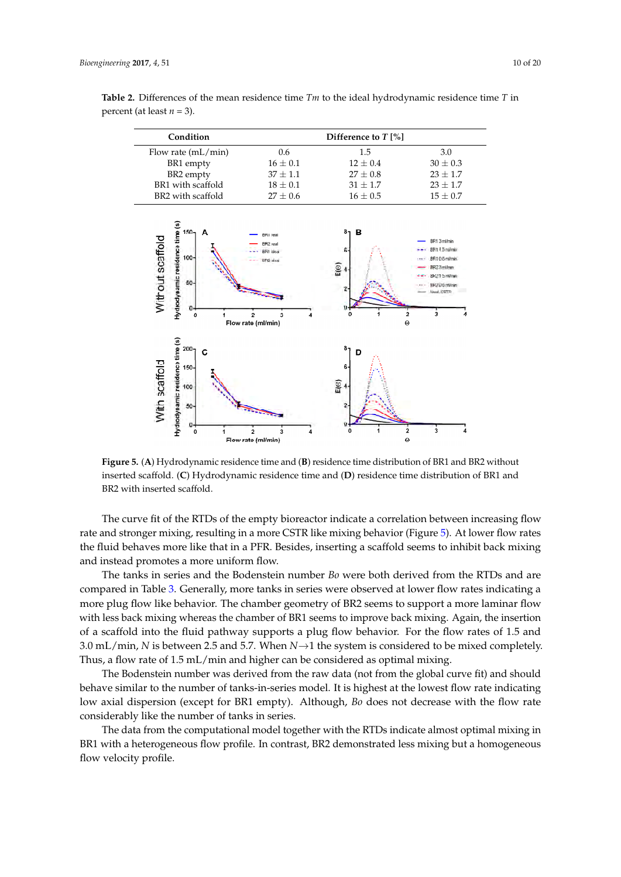| Condition            | Difference to $T$ [%] |              |              |
|----------------------|-----------------------|--------------|--------------|
| Flow rate $(mL/min)$ | 0.6                   | 1.5          | 3.0          |
| BR1 empty            | $16 \pm 0.1$          | $12 \pm 0.4$ | $30 \pm 0.3$ |
| BR2 empty            | $37 \pm 1.1$          | $27 \pm 0.8$ | $23 \pm 1.7$ |
| BR1 with scaffold    | $18 \pm 0.1$          | $31 \pm 1.7$ | $23 \pm 1.7$ |
| BR2 with scaffold    | $27 \pm 0.6$          | $16 + 0.5$   | $15 \pm 0.7$ |

<span id="page-9-0"></span>**Table 2.** Differences of the mean residence time  $Tm$  to the ideal hydrodynamic residence time  $T$  in percent (at least  $n = 3$ ).

<span id="page-9-1"></span>

**Figure 5. (A)** Hydrodynamic residence time and (**B**) residence time distribution of BR1 and BR2 without inserted scaffold. (**C**) Hydrodynamic residence time and (**D**) residence time distribution of BR1 and BR2 with inserted scaffold.

The curve fit of the RTDs of the empty bioreactor indicate a correlation between increasing flow rate and stronger mixing, resulting in a more CSTR like mixing behavior (Figure 5). At lower [flo](#page-9-1)w rates the fluid behaves more like that in a PFR. Besides, inserting a scaffold seems to inhibit back mixing and instead promotes a more uniform flow.

The tanks in series and the Bodenstein number *Bo* were both derived from the RTDs and are compared in Table [3.](#page-10-0) Generally, more tanks in series were observed at lower flow rates indicating a more plug flow like behavior. The chamber geometry of BR2 seems to support a more laminar flow of a scaffold into the fluid pathway supports a plug flow behavior. For the flow rates of 1.5 and 3.0 mL/min, *N* is between 2.5 and 5.7. When *N*→1 the system is considered to be mixed completely. Thus, a flow rate of 1.5 mL/min and higher can be considered as optimal mixing. with less back mixing whereas the chamber of BR1 seems to improve back mixing. Again, the insertion

I he Bodenstein number was derived from the raw data (not from the global curve fit) and should<br>behave similar to the number of tanks-in-series model. It is highest at the lowest flow rate indicating low axial dispersion (except for BR1 empty). Although*, Bo* does not decrease with the flow rate considerably like the number of tanks in series. The Bodenstein number was derived from the raw data (not from the global curve fit) and should

The data from the computational model together with the RTDs indicate almost optimal mixing in BR1 with a heterogeneous flow profile. In contrast, BR2 demonstrated less mixing but a homogeneous flow velocity profile.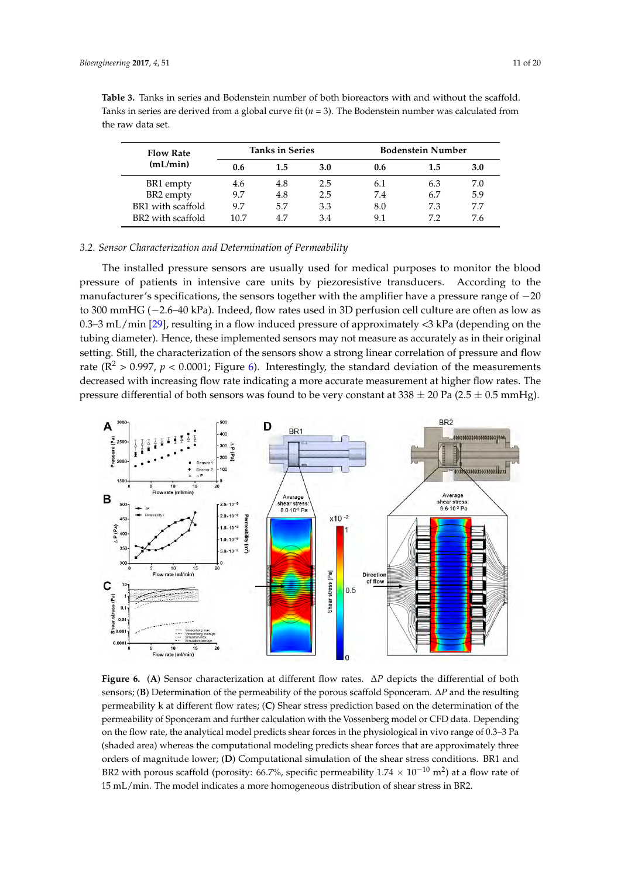| <b>Flow Rate</b>  | <b>Tanks in Series</b> |     | <b>Bodenstein Number</b> |     |     |     |
|-------------------|------------------------|-----|--------------------------|-----|-----|-----|
| (mL/min)          | 0.6                    | 1.5 | <b>3.0</b>               | 0.6 | 1.5 | 3.0 |
| BR1 empty         | 4.6                    | 4.8 | 2.5                      | 6.1 | 6.3 | 7.0 |
| BR2 empty         | 9.7                    | 4.8 | 2.5                      | 7.4 | 6.7 | 5.9 |
| BR1 with scaffold | 9.7                    | 5.7 | 3.3                      | 8.0 | 7.3 | 7.7 |
| BR2 with scaffold | 10.7                   | 4.7 | 3.4                      | 9.1 | 7.2 | 7.6 |

<span id="page-10-0"></span>**Table 3.** Tanks in series and Bodenstein number of both bioreactors with and without the scaffold. Tanks in series are derived from a global curve fit  $(n = 3)$ . The Bodenstein number was calculated from the raw data set. *Bioengineering* **2017**, *4*, 51 11 of 19

#### *3.2. Sensor Characterization and Determination of Permeability 3.2. Sensor Characterization and Determination of Permeability*

The installed pressure sensors are usually used for medical purposes to monitor the blood pressure of patients in intensive care units by piezoresistive transducers. According to the manufacturer's specifications, the sensors together with the amplifier have a pressure range of −20 to 300 mmHG (−2.6–40 kPa). Indeed, flow rates used in 3D perfusion cell culture are often as low as 0.3–3 mL/min [\[29\]](#page-18-6), resulting in a flow induced pressure of approximately  $\lt 3$  kPa (depending on the tubing diameter). Hence, these implemented sensors may not measure as accurately as in their original the sensors show a strong linear correlation of pressure as  $\epsilon$ setting. Still, the characterization of the sensors show a strong linear correlation of pressure and flow  $\sigma^2$ rate  $(R^2 > 0.997, p < 0.0001$ ; Figure [6\)](#page-10-1). Interestingly, the standard deviation of the measurements decreased with increasing flow rate indicating a more accurate measurement at higher flow rates. The pressure differential of both sensors was found to be very constant at 338 ± 20 Pa (2.5 Pa (2.5 Pa (2.5 Pa (2.5 Pa (2.5 P pressure differential of both sensors was found to be very constant at 338  $\pm$  20 Pa (2.5  $\pm$  0.5 mmHg). The installed pressure sensors are usually used for medical purposes to monitor the blood pressure of pressure sensors are usually used for inequial purposes to montrol the proof.

<span id="page-10-1"></span>

Figure 6. (A) Sensor characterization at different flow rates.  $\Delta P$  depicts the differential of both (**B**) Determination of the permeability of the porous scaffold Sponceram. Δ*P* and the resulting sensors; (**B**) Determination of the permeability of the porous scaffold Sponceram. ∆*P* and the resulting permeability k at different flow rates; (**C**) Shear stress prediction based on the determination of the permeability k at different flow rates; (**C**) Shear stress prediction based on the determination of the permeability of Sponceram and further calculation with the Vossenberg model or CFD data. permeability of Sponceram and further calculation with the Vossenberg model or CFD data. Depending on the flow rate, the analytical model predicts shear forces in the physiological in vivo range of 0.3–3 Pa (shaded area) whereas the computational modeling predicts shear forces that are approximately three orders of magnitude lower; (D) Computational simulation of the shear stress conditions. BR1 and BR2 with porous scaffold (porosity: 66.7%, specific permeability 1.74  $\times$  10<sup>-10</sup> m<sup>2</sup>) at a flow rate of 15 mL/min. The model indicates a more homogeneous distribution of shear stress in BR2.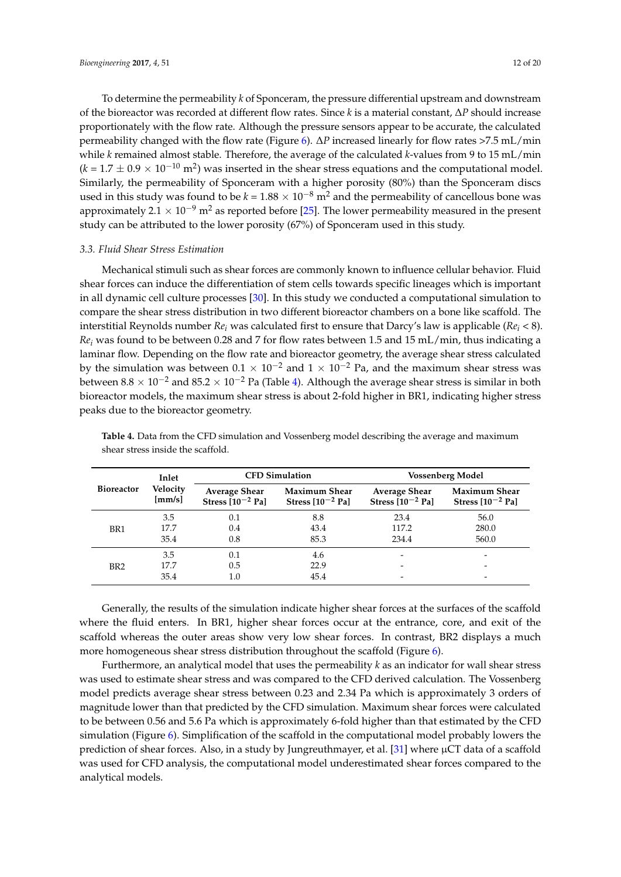To determine the permeability *k* of Sponceram, the pressure differential upstream and downstream of the bioreactor was recorded at different flow rates. Since *k* is a material constant, ∆*P* should increase proportionately with the flow rate. Although the pressure sensors appear to be accurate, the calculated permeability changed with the flow rate (Figure [6\)](#page-10-1). ∆*P* increased linearly for flow rates >7.5 mL/min while *k* remained almost stable. Therefore, the average of the calculated *k*-values from 9 to 15 mL/min  $(k = 1.7 \pm 0.9 \times 10^{-10} \text{ m}^2)$  was inserted in the shear stress equations and the computational model. Similarly, the permeability of Sponceram with a higher porosity (80%) than the Sponceram discs used in this study was found to be  $k = 1.88 \times 10^{-8}$  m<sup>2</sup> and the permeability of cancellous bone was approximately 2.1 × 10<sup>-9</sup> m<sup>2</sup> as reported before [\[25\]](#page-18-2). The lower permeability measured in the present study can be attributed to the lower porosity (67%) of Sponceram used in this study.

## *3.3. Fluid Shear Stress Estimation*

Mechanical stimuli such as shear forces are commonly known to influence cellular behavior. Fluid shear forces can induce the differentiation of stem cells towards specific lineages which is important in all dynamic cell culture processes [\[30\]](#page-18-7). In this study we conducted a computational simulation to compare the shear stress distribution in two different bioreactor chambers on a bone like scaffold. The interstitial Reynolds number *Re<sup>i</sup>* was calculated first to ensure that Darcy's law is applicable (*Re<sup>i</sup>* < 8). *Re<sup>i</sup>* was found to be between 0.28 and 7 for flow rates between 1.5 and 15 mL/min, thus indicating a laminar flow. Depending on the flow rate and bioreactor geometry, the average shear stress calculated by the simulation was between  $0.1 \times 10^{-2}$  and  $1 \times 10^{-2}$  Pa, and the maximum shear stress was between  $8.8 \times 10^{-2}$  and  $85.2 \times 10^{-2}$  Pa (Table [4\)](#page-11-0). Although the average shear stress is similar in both bioreactor models, the maximum shear stress is about 2-fold higher in BR1, indicating higher stress peaks due to the bioreactor geometry.

| <b>Bioreactor</b> | Inlet<br>Velocity<br>${\rm [mm/s]}$ |                                               | <b>CFD Simulation</b>                         | <b>Vossenberg Model</b>                       |                                               |  |
|-------------------|-------------------------------------|-----------------------------------------------|-----------------------------------------------|-----------------------------------------------|-----------------------------------------------|--|
|                   |                                     | <b>Average Shear</b><br>Stress $[10^{-2}$ Pa] | <b>Maximum Shear</b><br>Stress $[10^{-2}$ Pa] | <b>Average Shear</b><br>Stress $[10^{-2}$ Pa] | <b>Maximum Shear</b><br>Stress $[10^{-2}$ Pa] |  |
|                   | 3.5                                 | 0.1                                           | 8.8                                           | 23.4                                          | 56.0                                          |  |
| BR1               | 17.7                                | 0.4                                           | 43.4                                          | 117.2                                         | 280.0                                         |  |
|                   | 35.4                                | 0.8                                           | 85.3                                          | 234.4                                         | 560.0                                         |  |
|                   | 3.5                                 | 0.1                                           | 4.6                                           |                                               |                                               |  |
| BR <sub>2</sub>   | 17.7                                | 0.5                                           | 22.9                                          |                                               |                                               |  |
|                   | 35.4                                | 1.0                                           | 45.4                                          |                                               |                                               |  |

<span id="page-11-0"></span>**Table 4.** Data from the CFD simulation and Vossenberg model describing the average and maximum shear stress inside the scaffold.

Generally, the results of the simulation indicate higher shear forces at the surfaces of the scaffold where the fluid enters. In BR1, higher shear forces occur at the entrance, core, and exit of the scaffold whereas the outer areas show very low shear forces. In contrast, BR2 displays a much more homogeneous shear stress distribution throughout the scaffold (Figure [6\)](#page-10-1).

Furthermore, an analytical model that uses the permeability *k* as an indicator for wall shear stress was used to estimate shear stress and was compared to the CFD derived calculation. The Vossenberg model predicts average shear stress between 0.23 and 2.34 Pa which is approximately 3 orders of magnitude lower than that predicted by the CFD simulation. Maximum shear forces were calculated to be between 0.56 and 5.6 Pa which is approximately 6-fold higher than that estimated by the CFD simulation (Figure [6\)](#page-10-1). Simplification of the scaffold in the computational model probably lowers the prediction of shear forces. Also, in a study by Jungreuthmayer, et al. [\[31\]](#page-18-8) where µCT data of a scaffold was used for CFD analysis, the computational model underestimated shear forces compared to the analytical models.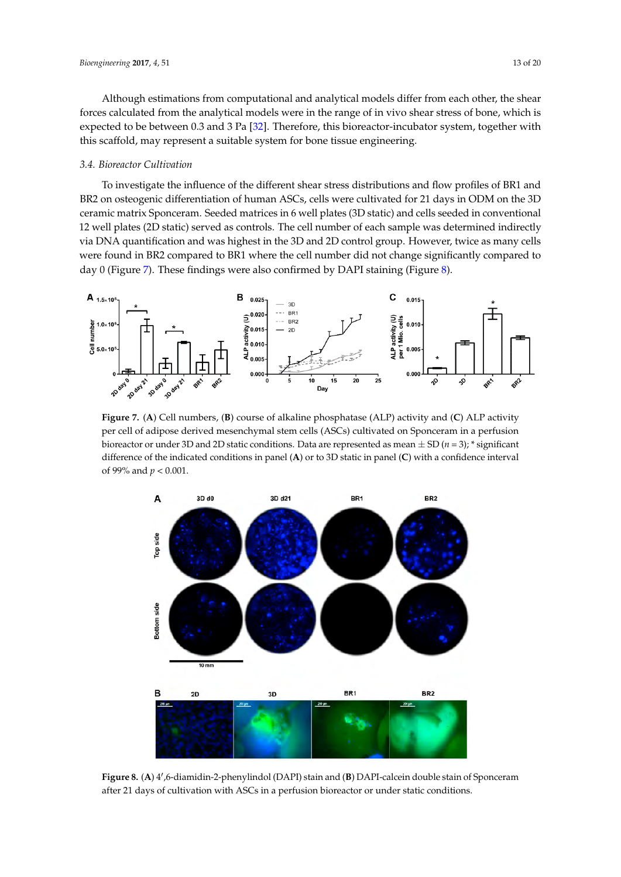Although estimations from computational and analytical models differ from each other, the shear forces calculated from the analytical models were in the range of in vivo shear stress of bone, which is expected to be between 0.3 and 3 Pa [\[32\]](#page-18-9). Therefore, this bioreactor-incubator system, together with this scaffold, may represent a suitable system for bone tissue engineering.

## *3.4. Bioreactor Cultivation*

To investigate the influence of the different shear stress distributions and flow profiles of BR1 and BR2 on osteogenic differentiation of human ASCs, cells were cultivated for 21 days in ODM on the 3D ceramic matrix Sponceram. Seeded matrices in 6 well plates (3D static) and cells seeded in conventional 12 well plates (2D static) served as controls. The cell number of each sample was determined indirectly via DNA quantification and was highest in the 3D and 2D control group. However, twice as many cells were found in BR2 compared to BR1 where the cell number did not change significantly compared to day 0 (Figure 7). These findings were also confirmed by DAPI staining (Figure [8\)](#page-12-1).  $\alpha$  or day  $\alpha$  findings were also confirmed by DAPI  $\alpha$  or  $\alpha$ 

<span id="page-12-0"></span>

per cell of adipose derived mesenchymal stem cells (ASCs) cultivated on Sponceram in a perfusion bioreactor or under 3D and 2D static conditions. Data are represented as mean  $\pm$  SD (*n* = 3); \* significant  $\frac{1}{2}$  if  $\alpha$  and  $\alpha$  is discreted sometimes in panel  $(\Lambda)$  and  $\alpha$   $\Omega$  at  $\alpha$  is negative in each  $\alpha$  and  $\alpha$  is the substantial  $\alpha$ difference of the indicated conditions in panel (A) or to 3D static in panel (C) with a confidence interval<br>of 00% and n < 0.001 **Figure 7.** (**A**) Cell numbers, (**B**) course of alkaline phosphatase (ALP) activity and (**C**) ALP activity of 99% and *p* < 0.001. confidence interval of 99% and *p* < 0.001.  $\frac{1}{\sqrt{2}}$  or to  $\frac{1}{\sqrt{2}}$  or to  $\frac{1}{\sqrt{2}}$  or to  $\frac{1}{\sqrt{2}}$  static in panel (**C**) with a new panel (**C**) with a new panel (**C**) with a new panel (**C**) with a new panel (**C**) with a new panel (**C**) with a new pan

<span id="page-12-1"></span>

Figure 8. (A) 4',6-diamidin-2-phenylindol (DAPI) stain and (B) DAPI-calcein double stain of Sponceram after 21 days of cultivation with ASCs in a perfusion bioreactor or under static conditions.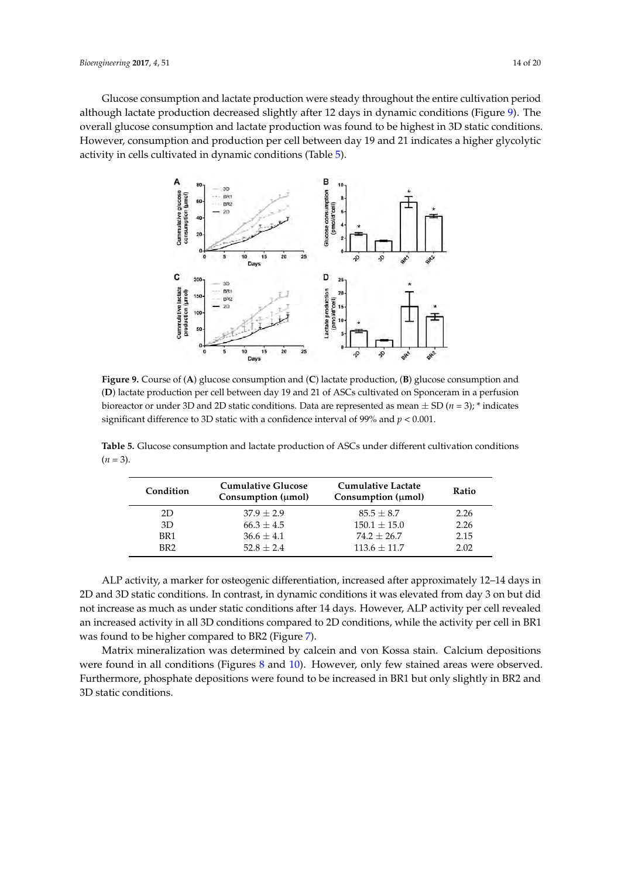<span id="page-13-0"></span>Glucose consumption and lactate production were steady throughout the entire cultivation period although lactate production decreased slightly after 12 days in dynamic conditions (Figure [9\)](#page-13-0). The overall glucose consumption and lactate production was found to be highest in 3D static conditions. However, consumption and production per cell between day 19 and 21 indicates a higher glycolytic activity in cells cultivated in dynamic conditions (Table [5\)](#page-13-1).



(D) lactate production per cell between day 19 and 21 of ASCs cultivated on Sponceram in a perfusion bioreactor or under 3D and 2D static conditions. Data are represented as mean  $\pm$  SD ( $n = 3$ ); \* indicates perfusion bioreactor or under  $3D$  defined bioreactor or under  $\frac{1}{2D}$  ( $\frac{2D}{2D}$   $\frac{1}{2D}$   $\frac{1}{2D}$   $\frac{1}{2D}$   $\frac{1}{2D}$   $\frac{1}{2D}$   $\frac{1}{2D}$   $\frac{1}{2D}$   $\frac{1}{2D}$   $\frac{1}{2D}$   $\frac{1}{2D}$   $\frac{1}{2D}$   $\frac{1}{2D}$   $\$ significant difference to 3D static with a confidence interval of 99% and  $p < 0.001$ . **Figure 9.** Course of (**A**) glucose consumption and (**C**) lactate production, (**B**) glucose consumption and

<span id="page-13-1"></span>**Table 5.** Glucose consumption and lactate production of ASCs under different cultivation conditions **Table 5.** Glucose consumption and lactate production of ASCs under different cultivation conditions (*n* = 3). (*n* = 3).

| Condition       | <b>Cumulative Glucose</b><br>Consumption $(\mu mol)$ | Cumulative Lactate<br>Consumption $(\mu mol)$ | <b>Ratio</b> |
|-----------------|------------------------------------------------------|-----------------------------------------------|--------------|
| 2D              | $37.9 + 2.9$                                         | $85.5 + 8.7$                                  | 2.26         |
| 3D              | $66.3 + 4.5$                                         | $150.1 + 15.0$                                | 2.26         |
| BR <sub>1</sub> | $36.6 + 4.1$                                         | $74.2 + 26.7$                                 | 2.15         |
| BR <sub>2</sub> | $52.8 + 2.4$                                         | $113.6 + 11.7$                                | 2.02         |

ALP activity, a marker for osteogenic differentiation, increased after approximately 12–14 days 2D and 3D static conditions. In contrast, in dynamic conditions it was elevated from day 3 on but did in 2D and 3D static conditions. In contrast, in dynamic conditions it was elevated from day 3 on but not increase as much as under static conditions after 14 days. However, ALP activity per cell revealed an increased activity in all 3D conditions compared to 2D conditions, while the activity per cell in BR1 are increased activity in all 3D conditions compared to 2D conditions, while the activity per cent in 2012 was found to be higher compared to BR2 (Figure [7\)](#page-12-0). ALP activity, a marker for osteogenic differentiation, increased after approximately 12–14 days in

Matrix mineralization was determined by calcein and von Kossa stain. Calcium depositions Matrix mineralization was determined by calcein and von Kossa stain. Calcium depositions were found in all conditions (Figures [8](#page-12-1) and [10\)](#page-14-0). However, only few stained areas were observed. were found in all conditions (Figures 8 and 10). However, only few states 8 and 10). However, only few states were observed. However, only few states in the state of the state of the state of the state of the state of the Furthermore, phosphate depositions were found to be increased in BR1 but only slightly in BR2 and Furthermore, phosphate depositions were found to be increased in BR1 but only slightly in BR2 and 3D static conditions. 3D static conditions.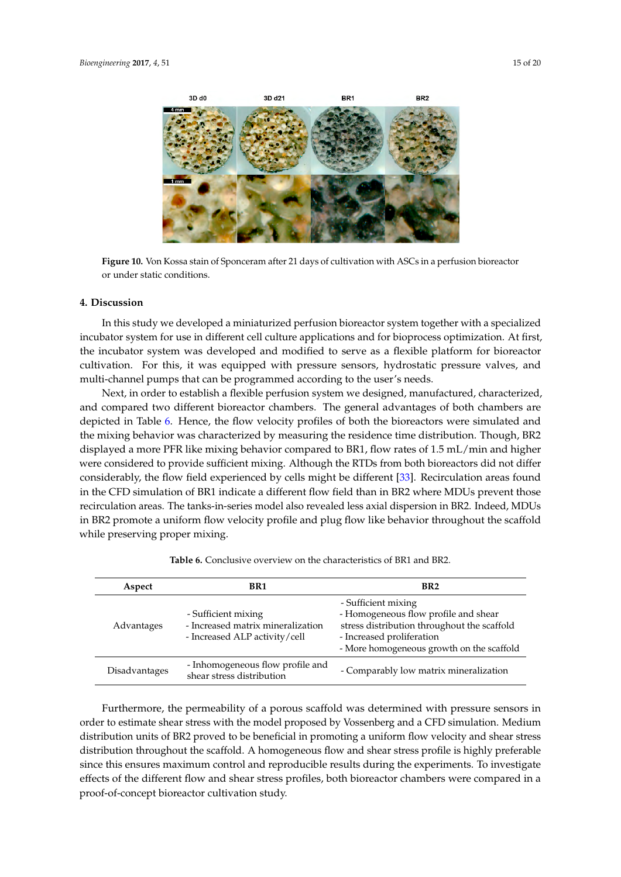<span id="page-14-0"></span>

**Figure 10.** Von Kossa stain of Sponceram after 21 days of cultivation with ASCs in a perfusion **Figure 10.** Von Kossa stain of Sponceram after 21 days of cultivation with ASCs in a perfusion bioreactor or under static conditions.

#### **4. Discussion**

In this study we developed a miniaturized perfusion bioreactor system together with a specialized incubator system for use in different cell culture applications and for bioprocess optimization. At first, the incubator system was developed and modified to serve as a flexible platform for bioreactor cultivation. For this, it was equipped with pressure sensors, hydrostatic pressure valves, and multi-channel pumps that can be programmed according to the user's needs.

Next, in order to establish a flexible perfusion system we designed, manufactured, characterized, and compared two different bioreactor chambers. The general advantages of both chambers are depicted in Table [6.](#page-14-1) Hence, the flow velocity profiles of both the bioreactors were simulated and the mixing behavior was characterized by measuring the residence time distribution. Though, BR2 displayed a more PFR like mixing behavior compared to BR1, flow rates of 1.5 mL/min and higher were considered to provide sufficient mixing. Although the RTDs from both bioreactors did not differ considerably, the flow field experienced by cells might be different [\[33\]](#page-18-10). Recirculation areas found in the CFD simulation of BR1 indicate a different flow field than in BR2 where MDUs prevent those recirculation areas. The tanks-in-series model also revealed less axial dispersion in BR2. Indeed, MDUs in BR2 promote a uniform flow velocity profile and plug flow like behavior throughout the scaffold while preserving proper mixing.

<span id="page-14-1"></span>

| Aspect        | BR1                                                                                       | BR <sub>2</sub>                                                                                                                                                                      |
|---------------|-------------------------------------------------------------------------------------------|--------------------------------------------------------------------------------------------------------------------------------------------------------------------------------------|
| Advantages    | - Sufficient mixing<br>- Increased matrix mineralization<br>- Increased ALP activity/cell | - Sufficient mixing<br>- Homogeneous flow profile and shear<br>stress distribution throughout the scaffold<br>- Increased proliferation<br>- More homogeneous growth on the scaffold |
| Disadvantages | - Inhomogeneous flow profile and<br>shear stress distribution                             | - Comparably low matrix mineralization                                                                                                                                               |

**Table 6.** Conclusive overview on the characteristics of BR1 and BR2.

Furthermore, the permeability of a porous scaffold was determined with pressure sensors in order to estimate shear stress with the model proposed by Vossenberg and a CFD simulation. Medium distribution units of BR2 proved to be beneficial in promoting a uniform flow velocity and shear stress distribution throughout the scaffold. A homogeneous flow and shear stress profile is highly preferable since this ensures maximum control and reproducible results during the experiments. To investigate effects of the different flow and shear stress profiles, both bioreactor chambers were compared in a proof-of-concept bioreactor cultivation study.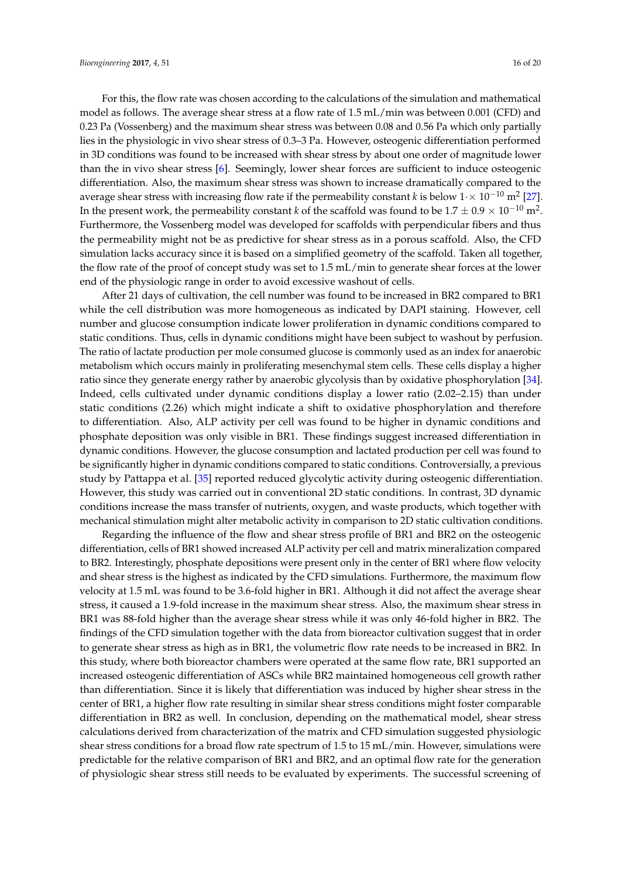For this, the flow rate was chosen according to the calculations of the simulation and mathematical model as follows. The average shear stress at a flow rate of 1.5 mL/min was between 0.001 (CFD) and 0.23 Pa (Vossenberg) and the maximum shear stress was between 0.08 and 0.56 Pa which only partially lies in the physiologic in vivo shear stress of 0.3–3 Pa. However, osteogenic differentiation performed in 3D conditions was found to be increased with shear stress by about one order of magnitude lower than the in vivo shear stress [\[6\]](#page-17-2). Seemingly, lower shear forces are sufficient to induce osteogenic differentiation. Also, the maximum shear stress was shown to increase dramatically compared to the average shear stress with increasing flow rate if the permeability constant *k* is below  $1 \times 10^{-10}$  m<sup>2</sup> [\[27\]](#page-18-4). In the present work, the permeability constant *k* of the scaffold was found to be  $1.7\pm0.9\times10^{-10}$  m<sup>2</sup>. Furthermore, the Vossenberg model was developed for scaffolds with perpendicular fibers and thus the permeability might not be as predictive for shear stress as in a porous scaffold. Also, the CFD simulation lacks accuracy since it is based on a simplified geometry of the scaffold. Taken all together, the flow rate of the proof of concept study was set to 1.5 mL/min to generate shear forces at the lower

end of the physiologic range in order to avoid excessive washout of cells.

After 21 days of cultivation, the cell number was found to be increased in BR2 compared to BR1 while the cell distribution was more homogeneous as indicated by DAPI staining. However, cell number and glucose consumption indicate lower proliferation in dynamic conditions compared to static conditions. Thus, cells in dynamic conditions might have been subject to washout by perfusion. The ratio of lactate production per mole consumed glucose is commonly used as an index for anaerobic metabolism which occurs mainly in proliferating mesenchymal stem cells. These cells display a higher ratio since they generate energy rather by anaerobic glycolysis than by oxidative phosphorylation [\[34\]](#page-18-11). Indeed, cells cultivated under dynamic conditions display a lower ratio (2.02–2.15) than under static conditions (2.26) which might indicate a shift to oxidative phosphorylation and therefore to differentiation. Also, ALP activity per cell was found to be higher in dynamic conditions and phosphate deposition was only visible in BR1. These findings suggest increased differentiation in dynamic conditions. However, the glucose consumption and lactated production per cell was found to be significantly higher in dynamic conditions compared to static conditions. Controversially, a previous study by Pattappa et al. [\[35\]](#page-18-12) reported reduced glycolytic activity during osteogenic differentiation. However, this study was carried out in conventional 2D static conditions. In contrast, 3D dynamic conditions increase the mass transfer of nutrients, oxygen, and waste products, which together with mechanical stimulation might alter metabolic activity in comparison to 2D static cultivation conditions.

Regarding the influence of the flow and shear stress profile of BR1 and BR2 on the osteogenic differentiation, cells of BR1 showed increased ALP activity per cell and matrix mineralization compared to BR2. Interestingly, phosphate depositions were present only in the center of BR1 where flow velocity and shear stress is the highest as indicated by the CFD simulations. Furthermore, the maximum flow velocity at 1.5 mL was found to be 3.6-fold higher in BR1. Although it did not affect the average shear stress, it caused a 1.9-fold increase in the maximum shear stress. Also, the maximum shear stress in BR1 was 88-fold higher than the average shear stress while it was only 46-fold higher in BR2. The findings of the CFD simulation together with the data from bioreactor cultivation suggest that in order to generate shear stress as high as in BR1, the volumetric flow rate needs to be increased in BR2. In this study, where both bioreactor chambers were operated at the same flow rate, BR1 supported an increased osteogenic differentiation of ASCs while BR2 maintained homogeneous cell growth rather than differentiation. Since it is likely that differentiation was induced by higher shear stress in the center of BR1, a higher flow rate resulting in similar shear stress conditions might foster comparable differentiation in BR2 as well. In conclusion, depending on the mathematical model, shear stress calculations derived from characterization of the matrix and CFD simulation suggested physiologic shear stress conditions for a broad flow rate spectrum of 1.5 to 15 mL/min. However, simulations were predictable for the relative comparison of BR1 and BR2, and an optimal flow rate for the generation of physiologic shear stress still needs to be evaluated by experiments. The successful screening of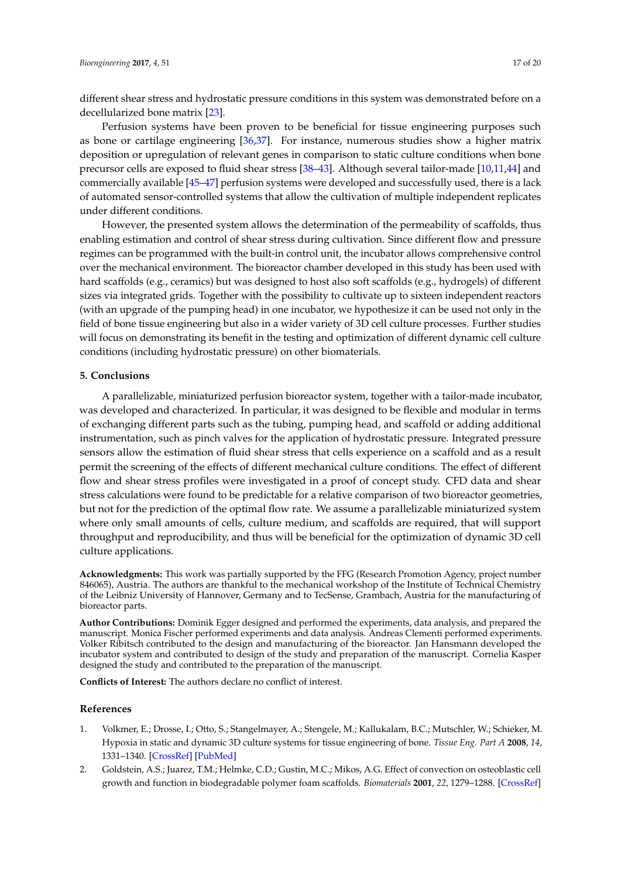different shear stress and hydrostatic pressure conditions in this system was demonstrated before on a decellularized bone matrix [\[23\]](#page-18-0).

Perfusion systems have been proven to be beneficial for tissue engineering purposes such as bone or cartilage engineering [\[36,](#page-18-13)[37\]](#page-18-14). For instance, numerous studies show a higher matrix deposition or upregulation of relevant genes in comparison to static culture conditions when bone precursor cells are exposed to fluid shear stress [\[38](#page-18-15)[–43\]](#page-18-16). Although several tailor-made [\[10](#page-17-6)[,11](#page-17-15)[,44\]](#page-19-0) and commercially available [\[45](#page-19-1)[–47\]](#page-19-2) perfusion systems were developed and successfully used, there is a lack of automated sensor-controlled systems that allow the cultivation of multiple independent replicates under different conditions.

However, the presented system allows the determination of the permeability of scaffolds, thus enabling estimation and control of shear stress during cultivation. Since different flow and pressure regimes can be programmed with the built-in control unit, the incubator allows comprehensive control over the mechanical environment. The bioreactor chamber developed in this study has been used with hard scaffolds (e.g., ceramics) but was designed to host also soft scaffolds (e.g., hydrogels) of different sizes via integrated grids. Together with the possibility to cultivate up to sixteen independent reactors (with an upgrade of the pumping head) in one incubator, we hypothesize it can be used not only in the field of bone tissue engineering but also in a wider variety of 3D cell culture processes. Further studies will focus on demonstrating its benefit in the testing and optimization of different dynamic cell culture conditions (including hydrostatic pressure) on other biomaterials.

## **5. Conclusions**

A parallelizable, miniaturized perfusion bioreactor system, together with a tailor-made incubator, was developed and characterized. In particular, it was designed to be flexible and modular in terms of exchanging different parts such as the tubing, pumping head, and scaffold or adding additional instrumentation, such as pinch valves for the application of hydrostatic pressure. Integrated pressure sensors allow the estimation of fluid shear stress that cells experience on a scaffold and as a result permit the screening of the effects of different mechanical culture conditions. The effect of different flow and shear stress profiles were investigated in a proof of concept study. CFD data and shear stress calculations were found to be predictable for a relative comparison of two bioreactor geometries, but not for the prediction of the optimal flow rate. We assume a parallelizable miniaturized system where only small amounts of cells, culture medium, and scaffolds are required, that will support throughput and reproducibility, and thus will be beneficial for the optimization of dynamic 3D cell culture applications.

**Acknowledgments:** This work was partially supported by the FFG (Research Promotion Agency, project number 846065), Austria. The authors are thankful to the mechanical workshop of the Institute of Technical Chemistry of the Leibniz University of Hannover, Germany and to TecSense, Grambach, Austria for the manufacturing of bioreactor parts.

**Author Contributions:** Dominik Egger designed and performed the experiments, data analysis, and prepared the manuscript. Monica Fischer performed experiments and data analysis. Andreas Clementi performed experiments. Volker Ribitsch contributed to the design and manufacturing of the bioreactor. Jan Hansmann developed the incubator system and contributed to design of the study and preparation of the manuscript. Cornelia Kasper designed the study and contributed to the preparation of the manuscript.

**Conflicts of Interest:** The authors declare no conflict of interest.

## **References**

- <span id="page-16-0"></span>1. Volkmer, E.; Drosse, I.; Otto, S.; Stangelmayer, A.; Stengele, M.; Kallukalam, B.C.; Mutschler, W.; Schieker, M. Hypoxia in static and dynamic 3D culture systems for tissue engineering of bone. *Tissue Eng. Part A* **2008**, *14*, 1331–1340. [\[CrossRef\]](http://dx.doi.org/10.1089/ten.tea.2007.0231) [\[PubMed\]](http://www.ncbi.nlm.nih.gov/pubmed/18601588)
- <span id="page-16-1"></span>2. Goldstein, A.S.; Juarez, T.M.; Helmke, C.D.; Gustin, M.C.; Mikos, A.G. Effect of convection on osteoblastic cell growth and function in biodegradable polymer foam scaffolds. *Biomaterials* **2001**, *22*, 1279–1288. [\[CrossRef\]](http://dx.doi.org/10.1016/S0142-9612(00)00280-5)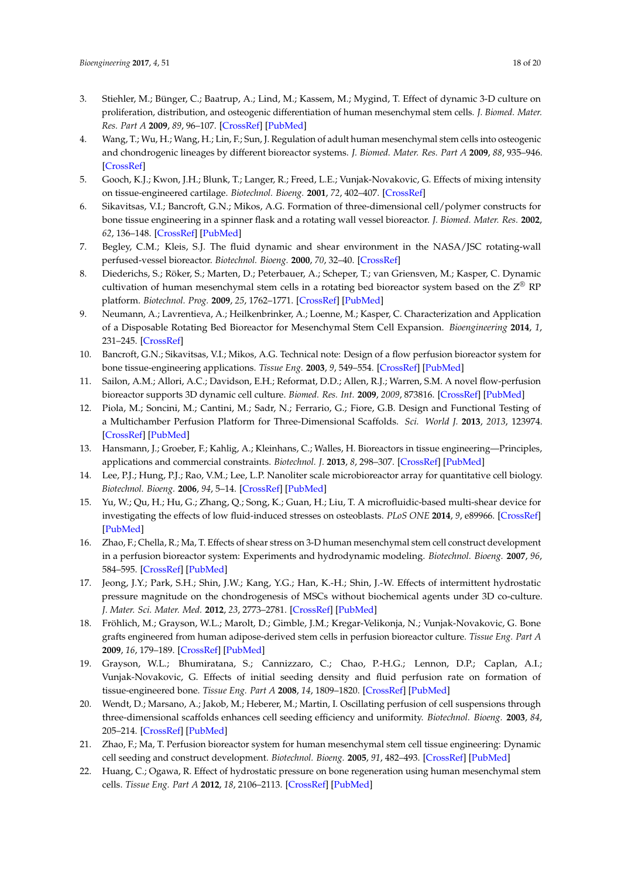- 3. Stiehler, M.; Bünger, C.; Baatrup, A.; Lind, M.; Kassem, M.; Mygind, T. Effect of dynamic 3-D culture on proliferation, distribution, and osteogenic differentiation of human mesenchymal stem cells. *J. Biomed. Mater. Res. Part A* **2009**, *89*, 96–107. [\[CrossRef\]](http://dx.doi.org/10.1002/jbm.a.31967) [\[PubMed\]](http://www.ncbi.nlm.nih.gov/pubmed/18431785)
- <span id="page-17-0"></span>4. Wang, T.; Wu, H.; Wang, H.; Lin, F.; Sun, J. Regulation of adult human mesenchymal stem cells into osteogenic and chondrogenic lineages by different bioreactor systems. *J. Biomed. Mater. Res. Part A* **2009**, *88*, 935–946. [\[CrossRef\]](http://dx.doi.org/10.1002/jbm.a.31914)
- <span id="page-17-1"></span>5. Gooch, K.J.; Kwon, J.H.; Blunk, T.; Langer, R.; Freed, L.E.; Vunjak-Novakovic, G. Effects of mixing intensity on tissue-engineered cartilage. *Biotechnol. Bioeng.* **2001**, *72*, 402–407. [\[CrossRef\]](http://dx.doi.org/10.1002/1097-0290(20000220)72:4<402::AID-BIT1002>3.0.CO;2-Q)
- <span id="page-17-2"></span>6. Sikavitsas, V.I.; Bancroft, G.N.; Mikos, A.G. Formation of three-dimensional cell/polymer constructs for bone tissue engineering in a spinner flask and a rotating wall vessel bioreactor. *J. Biomed. Mater. Res.* **2002**, *62*, 136–148. [\[CrossRef\]](http://dx.doi.org/10.1002/jbm.10150) [\[PubMed\]](http://www.ncbi.nlm.nih.gov/pubmed/12124795)
- <span id="page-17-3"></span>7. Begley, C.M.; Kleis, S.J. The fluid dynamic and shear environment in the NASA/JSC rotating-wall perfused-vessel bioreactor. *Biotechnol. Bioeng.* **2000**, *70*, 32–40. [\[CrossRef\]](http://dx.doi.org/10.1002/1097-0290(20001005)70:1<32::AID-BIT5>3.0.CO;2-V)
- <span id="page-17-4"></span>8. Diederichs, S.; Röker, S.; Marten, D.; Peterbauer, A.; Scheper, T.; van Griensven, M.; Kasper, C. Dynamic cultivation of human mesenchymal stem cells in a rotating bed bioreactor system based on the  $Z^\circledast$  RP platform. *Biotechnol. Prog.* **2009**, *25*, 1762–1771. [\[CrossRef\]](http://dx.doi.org/10.1002/btpr.258) [\[PubMed\]](http://www.ncbi.nlm.nih.gov/pubmed/19795480)
- <span id="page-17-5"></span>9. Neumann, A.; Lavrentieva, A.; Heilkenbrinker, A.; Loenne, M.; Kasper, C. Characterization and Application of a Disposable Rotating Bed Bioreactor for Mesenchymal Stem Cell Expansion. *Bioengineering* **2014**, *1*, 231–245. [\[CrossRef\]](http://dx.doi.org/10.3390/bioengineering1040231)
- <span id="page-17-6"></span>10. Bancroft, G.N.; Sikavitsas, V.I.; Mikos, A.G. Technical note: Design of a flow perfusion bioreactor system for bone tissue-engineering applications. *Tissue Eng.* **2003**, *9*, 549–554. [\[CrossRef\]](http://dx.doi.org/10.1089/107632703322066723) [\[PubMed\]](http://www.ncbi.nlm.nih.gov/pubmed/12857422)
- <span id="page-17-15"></span>11. Sailon, A.M.; Allori, A.C.; Davidson, E.H.; Reformat, D.D.; Allen, R.J.; Warren, S.M. A novel flow-perfusion bioreactor supports 3D dynamic cell culture. *Biomed. Res. Int.* **2009**, *2009*, 873816. [\[CrossRef\]](http://dx.doi.org/10.1155/2009/873816) [\[PubMed\]](http://www.ncbi.nlm.nih.gov/pubmed/20037739)
- 12. Piola, M.; Soncini, M.; Cantini, M.; Sadr, N.; Ferrario, G.; Fiore, G.B. Design and Functional Testing of a Multichamber Perfusion Platform for Three-Dimensional Scaffolds. *Sci. World J.* **2013**, *2013*, 123974. [\[CrossRef\]](http://dx.doi.org/10.1155/2013/123974) [\[PubMed\]](http://www.ncbi.nlm.nih.gov/pubmed/24453787)
- <span id="page-17-7"></span>13. Hansmann, J.; Groeber, F.; Kahlig, A.; Kleinhans, C.; Walles, H. Bioreactors in tissue engineering—Principles, applications and commercial constraints. *Biotechnol. J.* **2013**, *8*, 298–307. [\[CrossRef\]](http://dx.doi.org/10.1002/biot.201200162) [\[PubMed\]](http://www.ncbi.nlm.nih.gov/pubmed/23161827)
- <span id="page-17-8"></span>14. Lee, P.J.; Hung, P.J.; Rao, V.M.; Lee, L.P. Nanoliter scale microbioreactor array for quantitative cell biology. *Biotechnol. Bioeng.* **2006**, *94*, 5–14. [\[CrossRef\]](http://dx.doi.org/10.1002/bit.20745) [\[PubMed\]](http://www.ncbi.nlm.nih.gov/pubmed/16315325)
- <span id="page-17-9"></span>15. Yu, W.; Qu, H.; Hu, G.; Zhang, Q.; Song, K.; Guan, H.; Liu, T. A microfluidic-based multi-shear device for investigating the effects of low fluid-induced stresses on osteoblasts. *PLoS ONE* **2014**, *9*, e89966. [\[CrossRef\]](http://dx.doi.org/10.1371/journal.pone.0089966) [\[PubMed\]](http://www.ncbi.nlm.nih.gov/pubmed/24587156)
- <span id="page-17-10"></span>16. Zhao, F.; Chella, R.; Ma, T. Effects of shear stress on 3-D human mesenchymal stem cell construct development in a perfusion bioreactor system: Experiments and hydrodynamic modeling. *Biotechnol. Bioeng.* **2007**, *96*, 584–595. [\[CrossRef\]](http://dx.doi.org/10.1002/bit.21184) [\[PubMed\]](http://www.ncbi.nlm.nih.gov/pubmed/16948169)
- <span id="page-17-11"></span>17. Jeong, J.Y.; Park, S.H.; Shin, J.W.; Kang, Y.G.; Han, K.-H.; Shin, J.-W. Effects of intermittent hydrostatic pressure magnitude on the chondrogenesis of MSCs without biochemical agents under 3D co-culture. *J. Mater. Sci. Mater. Med.* **2012**, *23*, 2773–2781. [\[CrossRef\]](http://dx.doi.org/10.1007/s10856-012-4718-z) [\[PubMed\]](http://www.ncbi.nlm.nih.gov/pubmed/22802107)
- <span id="page-17-12"></span>18. Fröhlich, M.; Grayson, W.L.; Marolt, D.; Gimble, J.M.; Kregar-Velikonja, N.; Vunjak-Novakovic, G. Bone grafts engineered from human adipose-derived stem cells in perfusion bioreactor culture. *Tissue Eng. Part A* **2009**, *16*, 179–189. [\[CrossRef\]](http://dx.doi.org/10.1089/ten.tea.2009.0164) [\[PubMed\]](http://www.ncbi.nlm.nih.gov/pubmed/19678762)
- 19. Grayson, W.L.; Bhumiratana, S.; Cannizzaro, C.; Chao, P.-H.G.; Lennon, D.P.; Caplan, A.I.; Vunjak-Novakovic, G. Effects of initial seeding density and fluid perfusion rate on formation of tissue-engineered bone. *Tissue Eng. Part A* **2008**, *14*, 1809–1820. [\[CrossRef\]](http://dx.doi.org/10.1089/ten.tea.2007.0255) [\[PubMed\]](http://www.ncbi.nlm.nih.gov/pubmed/18620487)
- 20. Wendt, D.; Marsano, A.; Jakob, M.; Heberer, M.; Martin, I. Oscillating perfusion of cell suspensions through three-dimensional scaffolds enhances cell seeding efficiency and uniformity. *Biotechnol. Bioeng.* **2003**, *84*, 205–214. [\[CrossRef\]](http://dx.doi.org/10.1002/bit.10759) [\[PubMed\]](http://www.ncbi.nlm.nih.gov/pubmed/12966577)
- <span id="page-17-13"></span>21. Zhao, F.; Ma, T. Perfusion bioreactor system for human mesenchymal stem cell tissue engineering: Dynamic cell seeding and construct development. *Biotechnol. Bioeng.* **2005**, *91*, 482–493. [\[CrossRef\]](http://dx.doi.org/10.1002/bit.20532) [\[PubMed\]](http://www.ncbi.nlm.nih.gov/pubmed/15895382)
- <span id="page-17-14"></span>22. Huang, C.; Ogawa, R. Effect of hydrostatic pressure on bone regeneration using human mesenchymal stem cells. *Tissue Eng. Part A* **2012**, *18*, 2106–2113. [\[CrossRef\]](http://dx.doi.org/10.1089/ten.tea.2012.0064) [\[PubMed\]](http://www.ncbi.nlm.nih.gov/pubmed/22607391)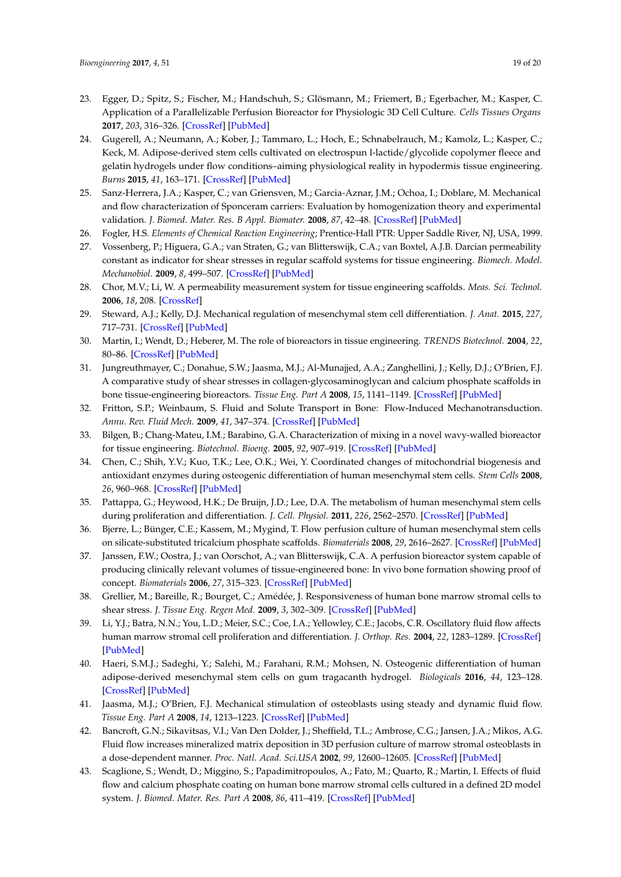- <span id="page-18-0"></span>23. Egger, D.; Spitz, S.; Fischer, M.; Handschuh, S.; Glösmann, M.; Friemert, B.; Egerbacher, M.; Kasper, C. Application of a Parallelizable Perfusion Bioreactor for Physiologic 3D Cell Culture. *Cells Tissues Organs* **2017**, *203*, 316–326. [\[CrossRef\]](http://dx.doi.org/10.1159/000457792) [\[PubMed\]](http://www.ncbi.nlm.nih.gov/pubmed/28291964)
- <span id="page-18-1"></span>24. Gugerell, A.; Neumann, A.; Kober, J.; Tammaro, L.; Hoch, E.; Schnabelrauch, M.; Kamolz, L.; Kasper, C.; Keck, M. Adipose-derived stem cells cultivated on electrospun l-lactide/glycolide copolymer fleece and gelatin hydrogels under flow conditions–aiming physiological reality in hypodermis tissue engineering. *Burns* **2015**, *41*, 163–171. [\[CrossRef\]](http://dx.doi.org/10.1016/j.burns.2014.06.010) [\[PubMed\]](http://www.ncbi.nlm.nih.gov/pubmed/25440846)
- <span id="page-18-2"></span>25. Sanz-Herrera, J.A.; Kasper, C.; van Griensven, M.; Garcia-Aznar, J.M.; Ochoa, I.; Doblare, M. Mechanical and flow characterization of Sponceram carriers: Evaluation by homogenization theory and experimental validation. *J. Biomed. Mater. Res. B Appl. Biomater.* **2008**, *87*, 42–48. [\[CrossRef\]](http://dx.doi.org/10.1002/jbm.b.31065) [\[PubMed\]](http://www.ncbi.nlm.nih.gov/pubmed/18395821)
- <span id="page-18-3"></span>26. Fogler, H.S. *Elements of Chemical Reaction Engineering*; Prentice-Hall PTR: Upper Saddle River, NJ, USA, 1999.
- <span id="page-18-4"></span>27. Vossenberg, P.; Higuera, G.A.; van Straten, G.; van Blitterswijk, C.A.; van Boxtel, A.J.B. Darcian permeability constant as indicator for shear stresses in regular scaffold systems for tissue engineering. *Biomech. Model. Mechanobiol.* **2009**, *8*, 499–507. [\[CrossRef\]](http://dx.doi.org/10.1007/s10237-009-0153-6) [\[PubMed\]](http://www.ncbi.nlm.nih.gov/pubmed/19360445)
- <span id="page-18-5"></span>28. Chor, M.V.; Li, W. A permeability measurement system for tissue engineering scaffolds. *Meas. Sci. Technol.* **2006**, *18*, 208. [\[CrossRef\]](http://dx.doi.org/10.1088/0957-0233/18/1/026)
- <span id="page-18-6"></span>29. Steward, A.J.; Kelly, D.J. Mechanical regulation of mesenchymal stem cell differentiation. *J. Anat.* **2015**, *227*, 717–731. [\[CrossRef\]](http://dx.doi.org/10.1111/joa.12243) [\[PubMed\]](http://www.ncbi.nlm.nih.gov/pubmed/25382217)
- <span id="page-18-7"></span>30. Martin, I.; Wendt, D.; Heberer, M. The role of bioreactors in tissue engineering. *TRENDS Biotechnol.* **2004**, *22*, 80–86. [\[CrossRef\]](http://dx.doi.org/10.1016/j.tibtech.2003.12.001) [\[PubMed\]](http://www.ncbi.nlm.nih.gov/pubmed/14757042)
- <span id="page-18-8"></span>31. Jungreuthmayer, C.; Donahue, S.W.; Jaasma, M.J.; Al-Munajjed, A.A.; Zanghellini, J.; Kelly, D.J.; O'Brien, F.J. A comparative study of shear stresses in collagen-glycosaminoglycan and calcium phosphate scaffolds in bone tissue-engineering bioreactors. *Tissue Eng. Part A* **2008**, *15*, 1141–1149. [\[CrossRef\]](http://dx.doi.org/10.1089/ten.tea.2008.0204) [\[PubMed\]](http://www.ncbi.nlm.nih.gov/pubmed/18831686)
- <span id="page-18-9"></span>32. Fritton, S.P.; Weinbaum, S. Fluid and Solute Transport in Bone: Flow-Induced Mechanotransduction. *Annu. Rev. Fluid Mech.* **2009**, *41*, 347–374. [\[CrossRef\]](http://dx.doi.org/10.1146/annurev.fluid.010908.165136) [\[PubMed\]](http://www.ncbi.nlm.nih.gov/pubmed/20072666)
- <span id="page-18-10"></span>33. Bilgen, B.; Chang-Mateu, I.M.; Barabino, G.A. Characterization of mixing in a novel wavy-walled bioreactor for tissue engineering. *Biotechnol. Bioeng.* **2005**, *92*, 907–919. [\[CrossRef\]](http://dx.doi.org/10.1002/bit.20667) [\[PubMed\]](http://www.ncbi.nlm.nih.gov/pubmed/16175564)
- <span id="page-18-11"></span>34. Chen, C.; Shih, Y.V.; Kuo, T.K.; Lee, O.K.; Wei, Y. Coordinated changes of mitochondrial biogenesis and antioxidant enzymes during osteogenic differentiation of human mesenchymal stem cells. *Stem Cells* **2008**, *26*, 960–968. [\[CrossRef\]](http://dx.doi.org/10.1634/stemcells.2007-0509) [\[PubMed\]](http://www.ncbi.nlm.nih.gov/pubmed/18218821)
- <span id="page-18-12"></span>35. Pattappa, G.; Heywood, H.K.; De Bruijn, J.D.; Lee, D.A. The metabolism of human mesenchymal stem cells during proliferation and differentiation. *J. Cell. Physiol.* **2011**, *226*, 2562–2570. [\[CrossRef\]](http://dx.doi.org/10.1002/jcp.22605) [\[PubMed\]](http://www.ncbi.nlm.nih.gov/pubmed/21792913)
- <span id="page-18-13"></span>36. Bjerre, L.; Bünger, C.E.; Kassem, M.; Mygind, T. Flow perfusion culture of human mesenchymal stem cells on silicate-substituted tricalcium phosphate scaffolds. *Biomaterials* **2008**, *29*, 2616–2627. [\[CrossRef\]](http://dx.doi.org/10.1016/j.biomaterials.2008.03.003) [\[PubMed\]](http://www.ncbi.nlm.nih.gov/pubmed/18374976)
- <span id="page-18-14"></span>37. Janssen, F.W.; Oostra, J.; van Oorschot, A.; van Blitterswijk, C.A. A perfusion bioreactor system capable of producing clinically relevant volumes of tissue-engineered bone: In vivo bone formation showing proof of concept. *Biomaterials* **2006**, *27*, 315–323. [\[CrossRef\]](http://dx.doi.org/10.1016/j.biomaterials.2005.07.044) [\[PubMed\]](http://www.ncbi.nlm.nih.gov/pubmed/16125223)
- <span id="page-18-15"></span>38. Grellier, M.; Bareille, R.; Bourget, C.; Amédée, J. Responsiveness of human bone marrow stromal cells to shear stress. *J. Tissue Eng. Regen Med.* **2009**, *3*, 302–309. [\[CrossRef\]](http://dx.doi.org/10.1002/term.166) [\[PubMed\]](http://www.ncbi.nlm.nih.gov/pubmed/19283726)
- 39. Li, Y.J.; Batra, N.N.; You, L.D.; Meier, S.C.; Coe, I.A.; Yellowley, C.E.; Jacobs, C.R. Oscillatory fluid flow affects human marrow stromal cell proliferation and differentiation. *J. Orthop. Res.* **2004**, *22*, 1283–1289. [\[CrossRef\]](http://dx.doi.org/10.1016/j.orthres.2004.04.002) [\[PubMed\]](http://www.ncbi.nlm.nih.gov/pubmed/15475210)
- 40. Haeri, S.M.J.; Sadeghi, Y.; Salehi, M.; Farahani, R.M.; Mohsen, N. Osteogenic differentiation of human adipose-derived mesenchymal stem cells on gum tragacanth hydrogel. *Biologicals* **2016**, *44*, 123–128. [\[CrossRef\]](http://dx.doi.org/10.1016/j.biologicals.2016.03.004) [\[PubMed\]](http://www.ncbi.nlm.nih.gov/pubmed/27055599)
- 41. Jaasma, M.J.; O'Brien, F.J. Mechanical stimulation of osteoblasts using steady and dynamic fluid flow. *Tissue Eng. Part A* **2008**, *14*, 1213–1223. [\[CrossRef\]](http://dx.doi.org/10.1089/ten.tea.2007.0321) [\[PubMed\]](http://www.ncbi.nlm.nih.gov/pubmed/18433309)
- 42. Bancroft, G.N.; Sikavitsas, V.I.; Van Den Dolder, J.; Sheffield, T.L.; Ambrose, C.G.; Jansen, J.A.; Mikos, A.G. Fluid flow increases mineralized matrix deposition in 3D perfusion culture of marrow stromal osteoblasts in a dose-dependent manner. *Proc. Natl. Acad. Sci.USA* **2002**, *99*, 12600–12605. [\[CrossRef\]](http://dx.doi.org/10.1073/pnas.202296599) [\[PubMed\]](http://www.ncbi.nlm.nih.gov/pubmed/12242339)
- <span id="page-18-16"></span>43. Scaglione, S.; Wendt, D.; Miggino, S.; Papadimitropoulos, A.; Fato, M.; Quarto, R.; Martin, I. Effects of fluid flow and calcium phosphate coating on human bone marrow stromal cells cultured in a defined 2D model system. *J. Biomed. Mater. Res. Part A* **2008**, *86*, 411–419. [\[CrossRef\]](http://dx.doi.org/10.1002/jbm.a.31607) [\[PubMed\]](http://www.ncbi.nlm.nih.gov/pubmed/17969030)